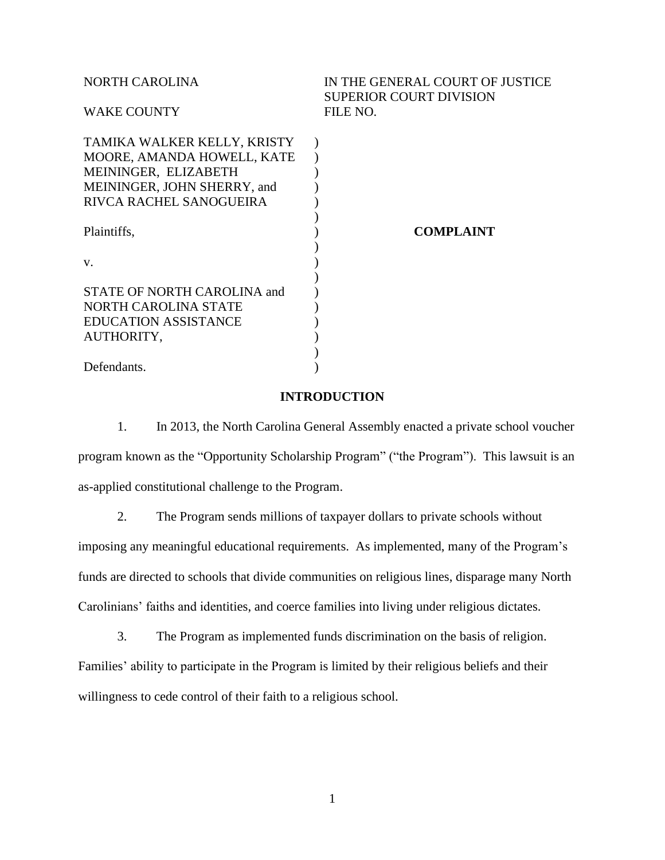| NORTH CAROLINA              | IN THE GENERAL COURT OF JUSTICE<br><b>SUPERIOR COURT DIVISION</b> |
|-----------------------------|-------------------------------------------------------------------|
| <b>WAKE COUNTY</b>          | FILE NO.                                                          |
| TAMIKA WALKER KELLY, KRISTY |                                                                   |
| MOORE, AMANDA HOWELL, KATE  |                                                                   |
| MEININGER, ELIZABETH        |                                                                   |
| MEININGER, JOHN SHERRY, and |                                                                   |
| RIVCA RACHEL SANOGUEIRA     |                                                                   |
|                             |                                                                   |
| Plaintiffs,                 | <b>COMPLAINT</b>                                                  |
|                             |                                                                   |
| V.                          |                                                                   |
|                             |                                                                   |
| STATE OF NORTH CAROLINA and |                                                                   |
| NORTH CAROLINA STATE        |                                                                   |
| <b>EDUCATION ASSISTANCE</b> |                                                                   |
| AUTHORITY,                  |                                                                   |
|                             |                                                                   |
| Defendants.                 |                                                                   |

# **INTRODUCTION**

1. In 2013, the North Carolina General Assembly enacted a private school voucher program known as the "Opportunity Scholarship Program" ("the Program"). This lawsuit is an as-applied constitutional challenge to the Program.

2. The Program sends millions of taxpayer dollars to private schools without imposing any meaningful educational requirements. As implemented, many of the Program's funds are directed to schools that divide communities on religious lines, disparage many North Carolinians' faiths and identities, and coerce families into living under religious dictates.

3. The Program as implemented funds discrimination on the basis of religion. Families' ability to participate in the Program is limited by their religious beliefs and their willingness to cede control of their faith to a religious school.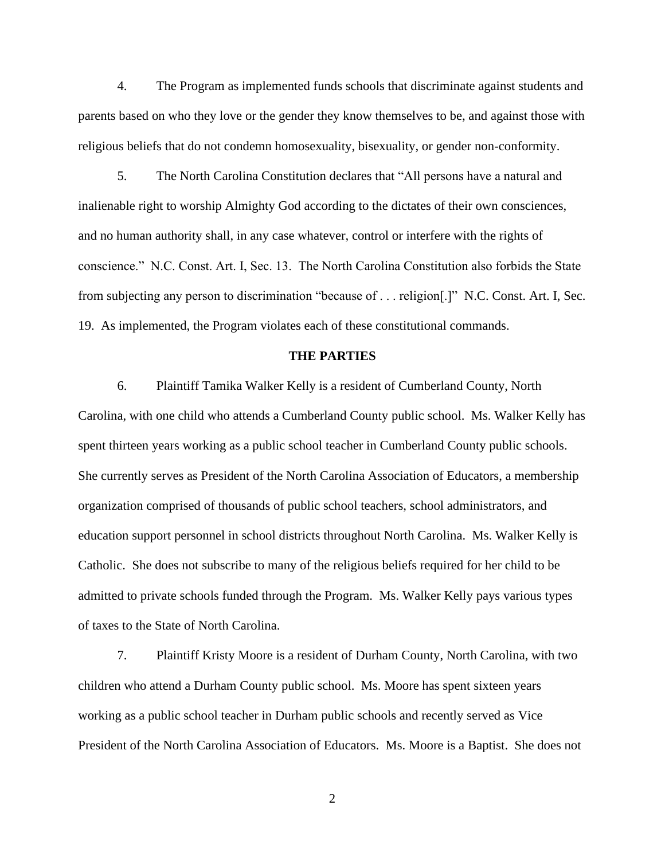4. The Program as implemented funds schools that discriminate against students and parents based on who they love or the gender they know themselves to be, and against those with religious beliefs that do not condemn homosexuality, bisexuality, or gender non-conformity.

5. The North Carolina Constitution declares that "All persons have a natural and inalienable right to worship Almighty God according to the dictates of their own consciences, and no human authority shall, in any case whatever, control or interfere with the rights of conscience." N.C. Const. Art. I, Sec. 13. The North Carolina Constitution also forbids the State from subjecting any person to discrimination "because of . . . religion[.]" N.C. Const. Art. I, Sec. 19. As implemented, the Program violates each of these constitutional commands.

#### **THE PARTIES**

6. Plaintiff Tamika Walker Kelly is a resident of Cumberland County, North Carolina, with one child who attends a Cumberland County public school. Ms. Walker Kelly has spent thirteen years working as a public school teacher in Cumberland County public schools. She currently serves as President of the North Carolina Association of Educators, a membership organization comprised of thousands of public school teachers, school administrators, and education support personnel in school districts throughout North Carolina. Ms. Walker Kelly is Catholic. She does not subscribe to many of the religious beliefs required for her child to be admitted to private schools funded through the Program. Ms. Walker Kelly pays various types of taxes to the State of North Carolina.

7. Plaintiff Kristy Moore is a resident of Durham County, North Carolina, with two children who attend a Durham County public school. Ms. Moore has spent sixteen years working as a public school teacher in Durham public schools and recently served as Vice President of the North Carolina Association of Educators. Ms. Moore is a Baptist. She does not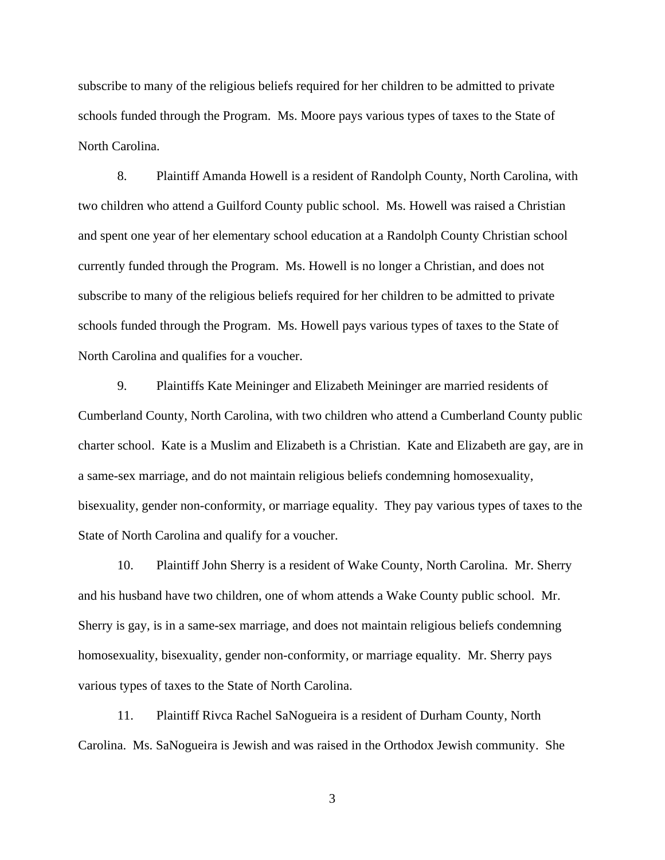subscribe to many of the religious beliefs required for her children to be admitted to private schools funded through the Program. Ms. Moore pays various types of taxes to the State of North Carolina.

8. Plaintiff Amanda Howell is a resident of Randolph County, North Carolina, with two children who attend a Guilford County public school. Ms. Howell was raised a Christian and spent one year of her elementary school education at a Randolph County Christian school currently funded through the Program. Ms. Howell is no longer a Christian, and does not subscribe to many of the religious beliefs required for her children to be admitted to private schools funded through the Program. Ms. Howell pays various types of taxes to the State of North Carolina and qualifies for a voucher.

9. Plaintiffs Kate Meininger and Elizabeth Meininger are married residents of Cumberland County, North Carolina, with two children who attend a Cumberland County public charter school. Kate is a Muslim and Elizabeth is a Christian. Kate and Elizabeth are gay, are in a same-sex marriage, and do not maintain religious beliefs condemning homosexuality, bisexuality, gender non-conformity, or marriage equality. They pay various types of taxes to the State of North Carolina and qualify for a voucher.

10. Plaintiff John Sherry is a resident of Wake County, North Carolina. Mr. Sherry and his husband have two children, one of whom attends a Wake County public school. Mr. Sherry is gay, is in a same-sex marriage, and does not maintain religious beliefs condemning homosexuality, bisexuality, gender non-conformity, or marriage equality. Mr. Sherry pays various types of taxes to the State of North Carolina.

11. Plaintiff Rivca Rachel SaNogueira is a resident of Durham County, North Carolina. Ms. SaNogueira is Jewish and was raised in the Orthodox Jewish community. She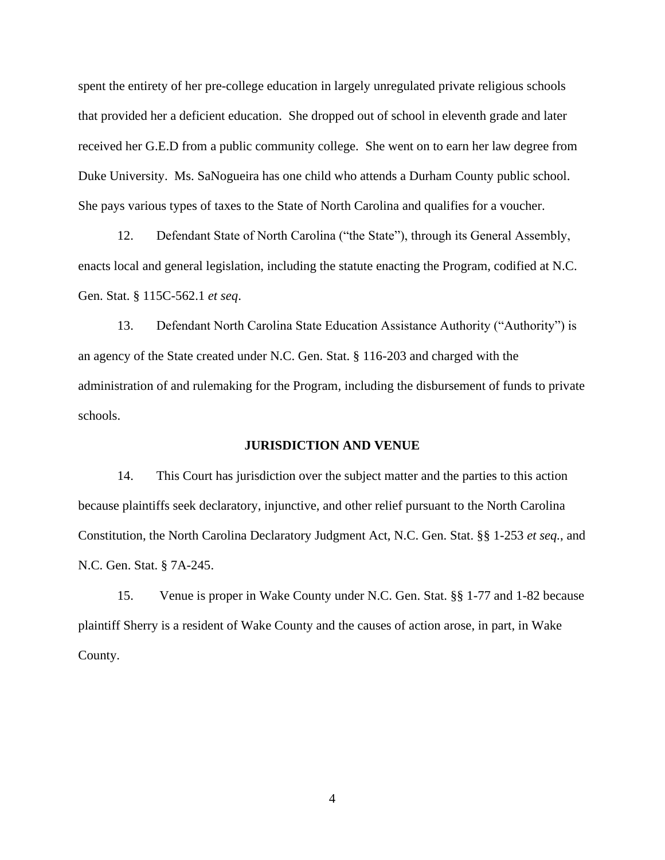spent the entirety of her pre-college education in largely unregulated private religious schools that provided her a deficient education. She dropped out of school in eleventh grade and later received her G.E.D from a public community college. She went on to earn her law degree from Duke University. Ms. SaNogueira has one child who attends a Durham County public school. She pays various types of taxes to the State of North Carolina and qualifies for a voucher.

12. Defendant State of North Carolina ("the State"), through its General Assembly, enacts local and general legislation, including the statute enacting the Program, codified at N.C. Gen. Stat. § 115C-562.1 *et seq*.

13. Defendant North Carolina State Education Assistance Authority ("Authority") is an agency of the State created under N.C. Gen. Stat. § 116-203 and charged with the administration of and rulemaking for the Program, including the disbursement of funds to private schools.

#### **JURISDICTION AND VENUE**

14. This Court has jurisdiction over the subject matter and the parties to this action because plaintiffs seek declaratory, injunctive, and other relief pursuant to the North Carolina Constitution, the North Carolina Declaratory Judgment Act, N.C. Gen. Stat. §§ 1-253 *et seq.*, and N.C. Gen. Stat. § 7A-245.

15. Venue is proper in Wake County under N.C. Gen. Stat. §§ 1-77 and 1-82 because plaintiff Sherry is a resident of Wake County and the causes of action arose, in part, in Wake County.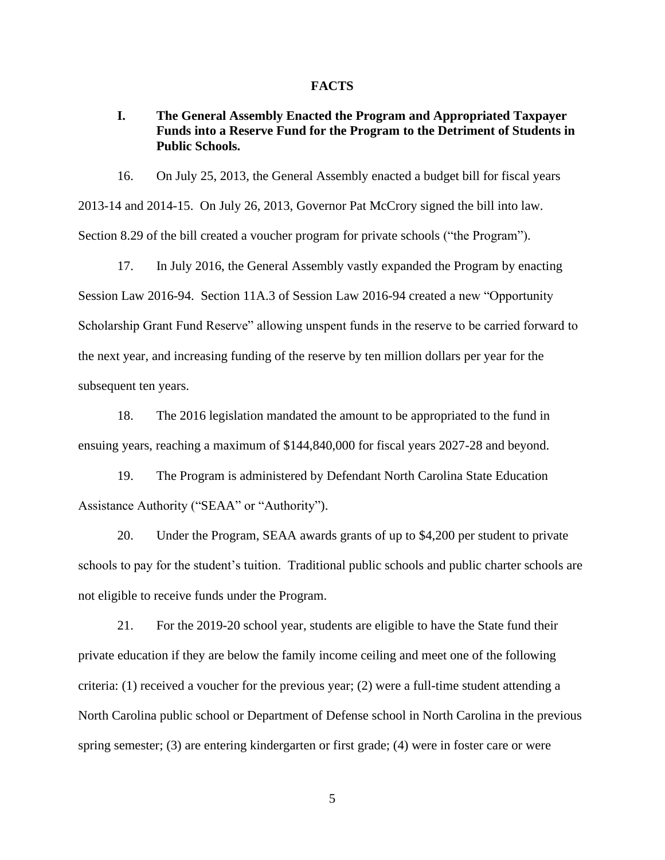## **FACTS**

# **I. The General Assembly Enacted the Program and Appropriated Taxpayer Funds into a Reserve Fund for the Program to the Detriment of Students in Public Schools.**

16. On July 25, 2013, the General Assembly enacted a budget bill for fiscal years 2013-14 and 2014-15. On July 26, 2013, Governor Pat McCrory signed the bill into law. Section 8.29 of the bill created a voucher program for private schools ("the Program").

17. In July 2016, the General Assembly vastly expanded the Program by enacting Session Law 2016-94. Section 11A.3 of Session Law 2016-94 created a new "Opportunity Scholarship Grant Fund Reserve" allowing unspent funds in the reserve to be carried forward to the next year, and increasing funding of the reserve by ten million dollars per year for the subsequent ten years.

18. The 2016 legislation mandated the amount to be appropriated to the fund in ensuing years, reaching a maximum of \$144,840,000 for fiscal years 2027-28 and beyond.

19. The Program is administered by Defendant North Carolina State Education Assistance Authority ("SEAA" or "Authority").

20. Under the Program, SEAA awards grants of up to \$4,200 per student to private schools to pay for the student's tuition. Traditional public schools and public charter schools are not eligible to receive funds under the Program.

21. For the 2019-20 school year, students are eligible to have the State fund their private education if they are below the family income ceiling and meet one of the following criteria: (1) received a voucher for the previous year; (2) were a full-time student attending a North Carolina public school or Department of Defense school in North Carolina in the previous spring semester; (3) are entering kindergarten or first grade; (4) were in foster care or were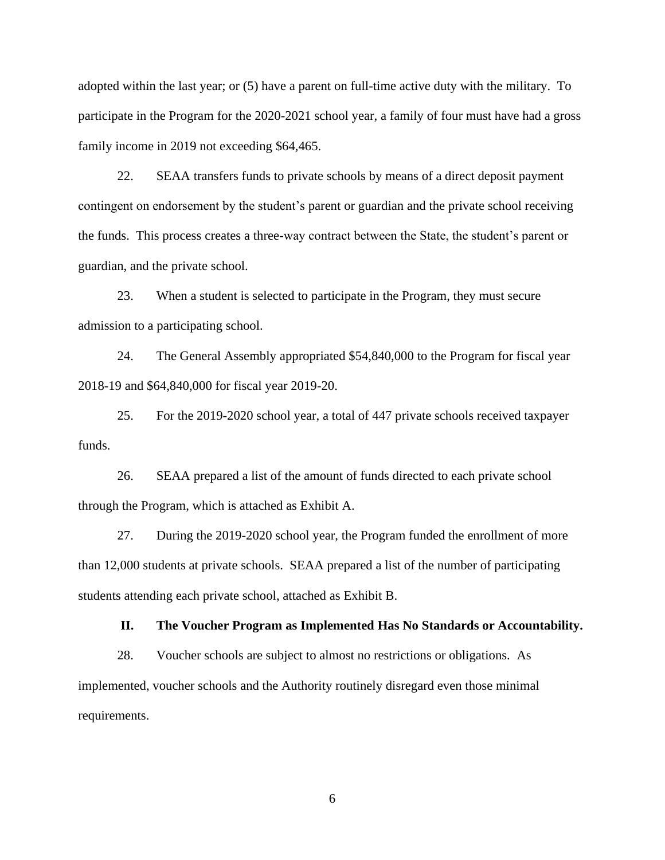adopted within the last year; or (5) have a parent on full-time active duty with the military. To participate in the Program for the 2020-2021 school year, a family of four must have had a gross family income in 2019 not exceeding \$64,465.

22. SEAA transfers funds to private schools by means of a direct deposit payment contingent on endorsement by the student's parent or guardian and the private school receiving the funds. This process creates a three-way contract between the State, the student's parent or guardian, and the private school.

23. When a student is selected to participate in the Program, they must secure admission to a participating school.

24. The General Assembly appropriated \$54,840,000 to the Program for fiscal year 2018-19 and \$64,840,000 for fiscal year 2019-20.

25. For the 2019-2020 school year, a total of 447 private schools received taxpayer funds.

26. SEAA prepared a list of the amount of funds directed to each private school through the Program, which is attached as Exhibit A.

27. During the 2019-2020 school year, the Program funded the enrollment of more than 12,000 students at private schools. SEAA prepared a list of the number of participating students attending each private school, attached as Exhibit B.

**II. The Voucher Program as Implemented Has No Standards or Accountability.**

28. Voucher schools are subject to almost no restrictions or obligations. As implemented, voucher schools and the Authority routinely disregard even those minimal requirements.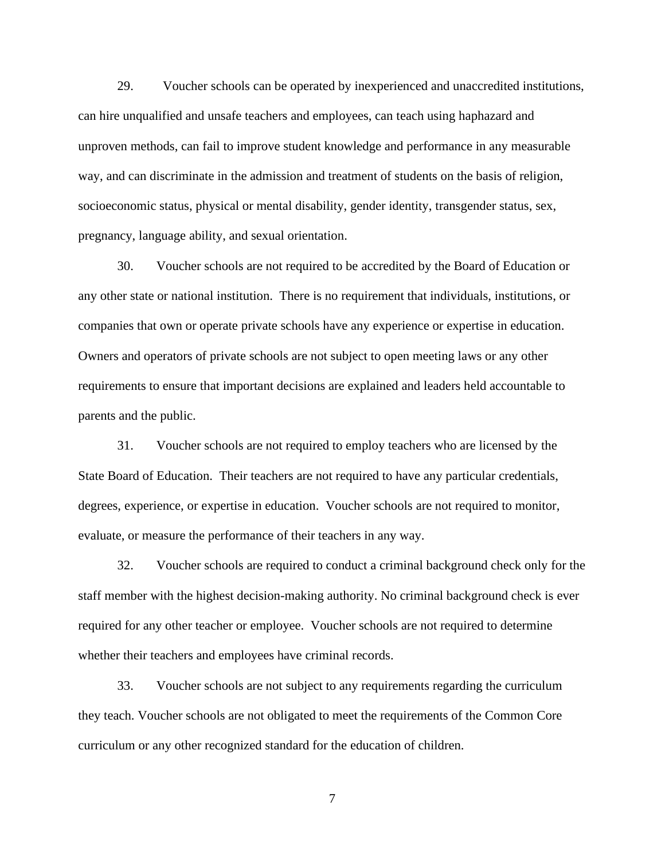29. Voucher schools can be operated by inexperienced and unaccredited institutions, can hire unqualified and unsafe teachers and employees, can teach using haphazard and unproven methods, can fail to improve student knowledge and performance in any measurable way, and can discriminate in the admission and treatment of students on the basis of religion, socioeconomic status, physical or mental disability, gender identity, transgender status, sex, pregnancy, language ability, and sexual orientation.

30. Voucher schools are not required to be accredited by the Board of Education or any other state or national institution. There is no requirement that individuals, institutions, or companies that own or operate private schools have any experience or expertise in education. Owners and operators of private schools are not subject to open meeting laws or any other requirements to ensure that important decisions are explained and leaders held accountable to parents and the public.

31. Voucher schools are not required to employ teachers who are licensed by the State Board of Education. Their teachers are not required to have any particular credentials, degrees, experience, or expertise in education. Voucher schools are not required to monitor, evaluate, or measure the performance of their teachers in any way.

32. Voucher schools are required to conduct a criminal background check only for the staff member with the highest decision-making authority. No criminal background check is ever required for any other teacher or employee. Voucher schools are not required to determine whether their teachers and employees have criminal records.

33. Voucher schools are not subject to any requirements regarding the curriculum they teach. Voucher schools are not obligated to meet the requirements of the Common Core curriculum or any other recognized standard for the education of children.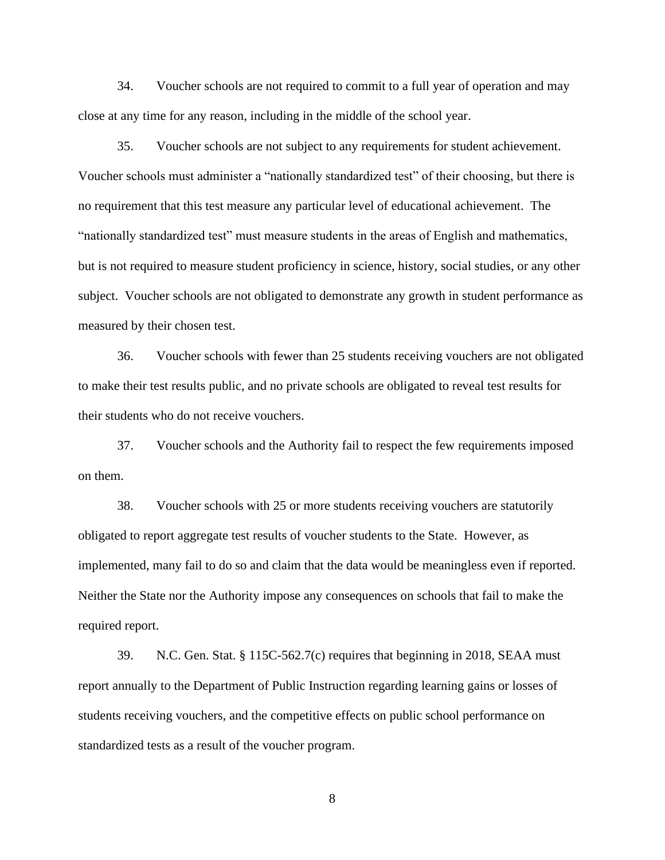34. Voucher schools are not required to commit to a full year of operation and may close at any time for any reason, including in the middle of the school year.

35. Voucher schools are not subject to any requirements for student achievement. Voucher schools must administer a "nationally standardized test" of their choosing, but there is no requirement that this test measure any particular level of educational achievement. The "nationally standardized test" must measure students in the areas of English and mathematics, but is not required to measure student proficiency in science, history, social studies, or any other subject. Voucher schools are not obligated to demonstrate any growth in student performance as measured by their chosen test.

36. Voucher schools with fewer than 25 students receiving vouchers are not obligated to make their test results public, and no private schools are obligated to reveal test results for their students who do not receive vouchers.

37. Voucher schools and the Authority fail to respect the few requirements imposed on them.

38. Voucher schools with 25 or more students receiving vouchers are statutorily obligated to report aggregate test results of voucher students to the State. However, as implemented, many fail to do so and claim that the data would be meaningless even if reported. Neither the State nor the Authority impose any consequences on schools that fail to make the required report.

39. N.C. Gen. Stat. § 115C-562.7(c) requires that beginning in 2018, SEAA must report annually to the Department of Public Instruction regarding learning gains or losses of students receiving vouchers, and the competitive effects on public school performance on standardized tests as a result of the voucher program.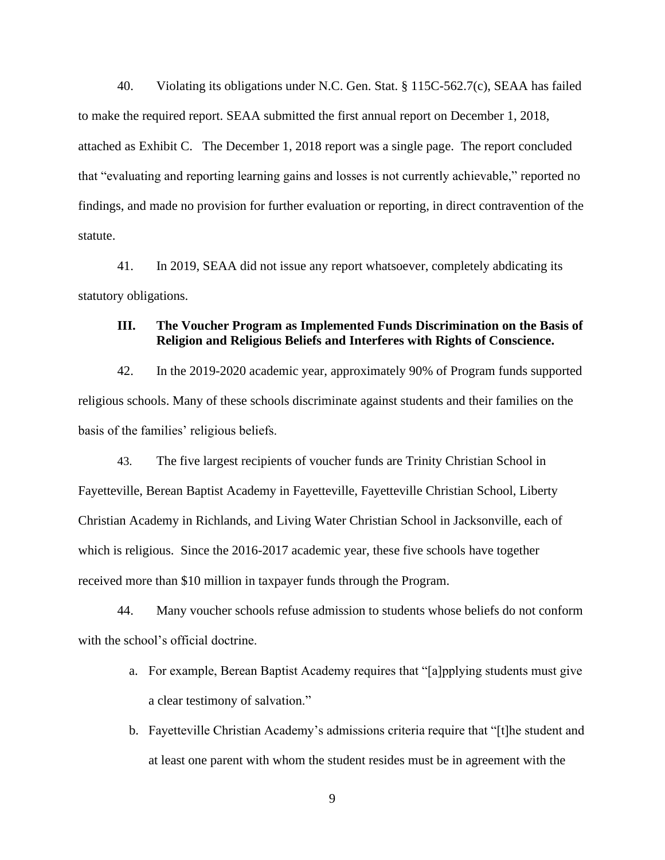40. Violating its obligations under N.C. Gen. Stat. § 115C-562.7(c), SEAA has failed to make the required report. SEAA submitted the first annual report on December 1, 2018, attached as Exhibit C. The December 1, 2018 report was a single page. The report concluded that "evaluating and reporting learning gains and losses is not currently achievable," reported no findings, and made no provision for further evaluation or reporting, in direct contravention of the statute.

41. In 2019, SEAA did not issue any report whatsoever, completely abdicating its statutory obligations.

# **III. The Voucher Program as Implemented Funds Discrimination on the Basis of Religion and Religious Beliefs and Interferes with Rights of Conscience.**

42. In the 2019-2020 academic year, approximately 90% of Program funds supported religious schools. Many of these schools discriminate against students and their families on the basis of the families' religious beliefs.

43. The five largest recipients of voucher funds are Trinity Christian School in Fayetteville, Berean Baptist Academy in Fayetteville, Fayetteville Christian School, Liberty Christian Academy in Richlands, and Living Water Christian School in Jacksonville, each of which is religious. Since the 2016-2017 academic year, these five schools have together received more than \$10 million in taxpayer funds through the Program.

44. Many voucher schools refuse admission to students whose beliefs do not conform with the school's official doctrine.

- a. For example, Berean Baptist Academy requires that "[a]pplying students must give a clear testimony of salvation."
- b. Fayetteville Christian Academy's admissions criteria require that "[t]he student and at least one parent with whom the student resides must be in agreement with the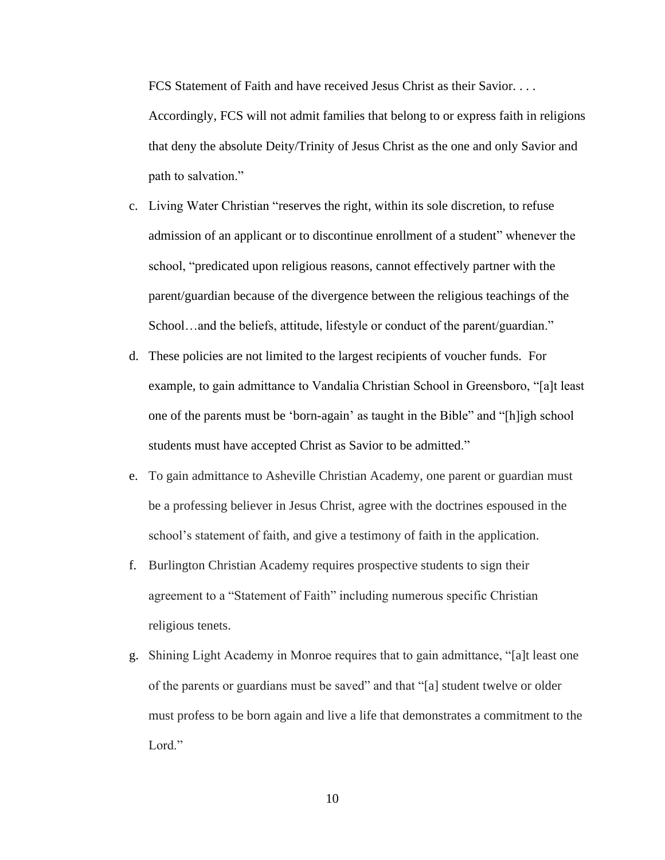FCS Statement of Faith and have received Jesus Christ as their Savior. . . .

Accordingly, FCS will not admit families that belong to or express faith in religions that deny the absolute Deity/Trinity of Jesus Christ as the one and only Savior and path to salvation."

- c. Living Water Christian "reserves the right, within its sole discretion, to refuse admission of an applicant or to discontinue enrollment of a student" whenever the school, "predicated upon religious reasons, cannot effectively partner with the parent/guardian because of the divergence between the religious teachings of the School...and the beliefs, attitude, lifestyle or conduct of the parent/guardian."
- d. These policies are not limited to the largest recipients of voucher funds. For example, to gain admittance to Vandalia Christian School in Greensboro, "[a]t least one of the parents must be 'born-again' as taught in the Bible" and "[h]igh school students must have accepted Christ as Savior to be admitted."
- e. To gain admittance to Asheville Christian Academy, one parent or guardian must be a professing believer in Jesus Christ, agree with the doctrines espoused in the school's statement of faith, and give a testimony of faith in the application.
- f. Burlington Christian Academy requires prospective students to sign their agreement to a "Statement of Faith" including numerous specific Christian religious tenets.
- g. Shining Light Academy in Monroe requires that to gain admittance, "[a]t least one of the parents or guardians must be saved" and that "[a] student twelve or older must profess to be born again and live a life that demonstrates a commitment to the Lord."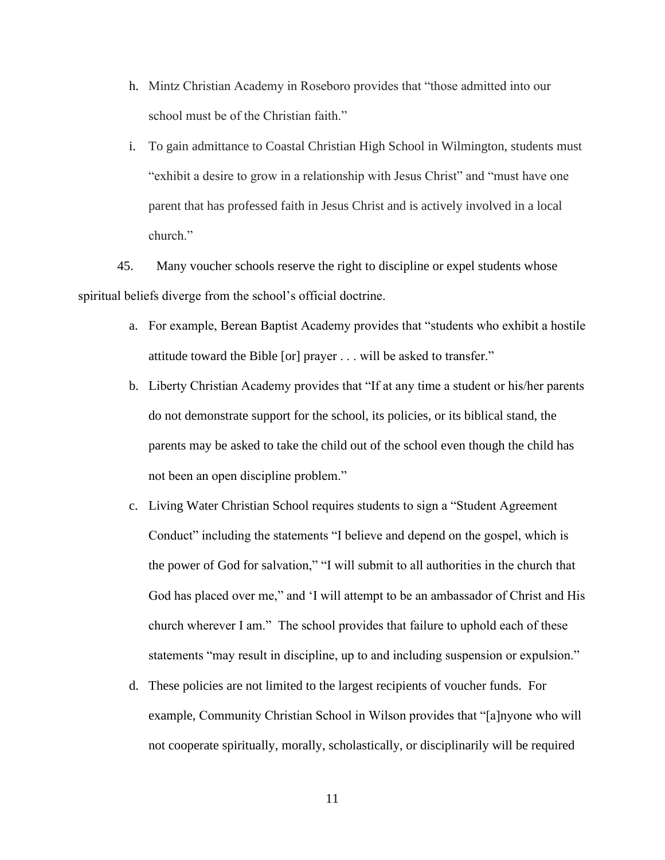- h. Mintz Christian Academy in Roseboro provides that "those admitted into our school must be of the Christian faith."
- i. To gain admittance to Coastal Christian High School in Wilmington, students must "exhibit a desire to grow in a relationship with Jesus Christ" and "must have one parent that has professed faith in Jesus Christ and is actively involved in a local church."

45. Many voucher schools reserve the right to discipline or expel students whose spiritual beliefs diverge from the school's official doctrine.

- a. For example, Berean Baptist Academy provides that "students who exhibit a hostile attitude toward the Bible [or] prayer . . . will be asked to transfer."
- b. Liberty Christian Academy provides that "If at any time a student or his/her parents do not demonstrate support for the school, its policies, or its biblical stand, the parents may be asked to take the child out of the school even though the child has not been an open discipline problem."
- c. Living Water Christian School requires students to sign a "Student Agreement Conduct" including the statements "I believe and depend on the gospel, which is the power of God for salvation," "I will submit to all authorities in the church that God has placed over me," and 'I will attempt to be an ambassador of Christ and His church wherever I am." The school provides that failure to uphold each of these statements "may result in discipline, up to and including suspension or expulsion."
- d. These policies are not limited to the largest recipients of voucher funds. For example, Community Christian School in Wilson provides that "[a]nyone who will not cooperate spiritually, morally, scholastically, or disciplinarily will be required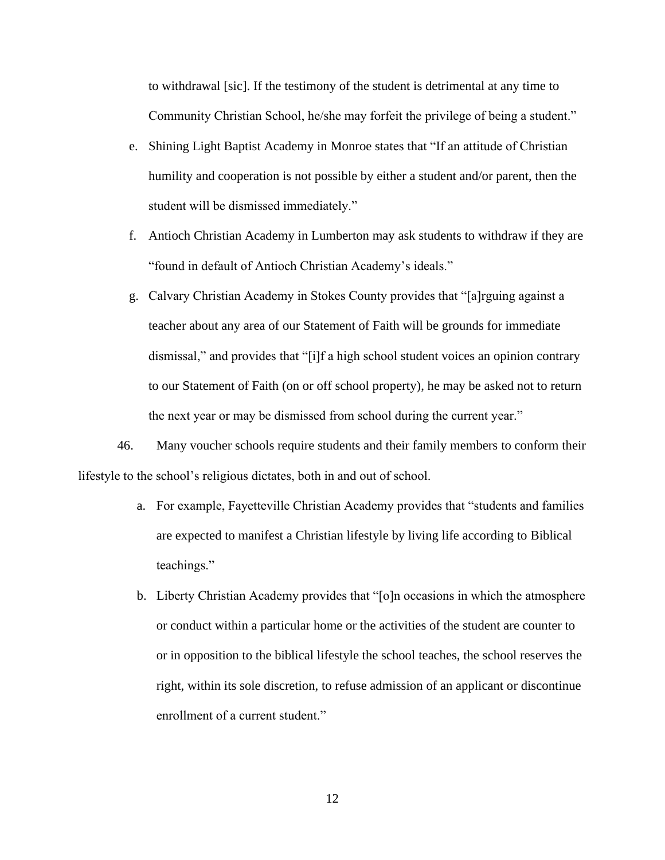to withdrawal [sic]. If the testimony of the student is detrimental at any time to Community Christian School, he/she may forfeit the privilege of being a student."

- e. Shining Light Baptist Academy in Monroe states that "If an attitude of Christian humility and cooperation is not possible by either a student and/or parent, then the student will be dismissed immediately."
- f. Antioch Christian Academy in Lumberton may ask students to withdraw if they are "found in default of Antioch Christian Academy's ideals."
- g. Calvary Christian Academy in Stokes County provides that "[a]rguing against a teacher about any area of our Statement of Faith will be grounds for immediate dismissal," and provides that "[i]f a high school student voices an opinion contrary to our Statement of Faith (on or off school property), he may be asked not to return the next year or may be dismissed from school during the current year."

46. Many voucher schools require students and their family members to conform their lifestyle to the school's religious dictates, both in and out of school.

- a. For example, Fayetteville Christian Academy provides that "students and families are expected to manifest a Christian lifestyle by living life according to Biblical teachings."
- b. Liberty Christian Academy provides that "[o]n occasions in which the atmosphere or conduct within a particular home or the activities of the student are counter to or in opposition to the biblical lifestyle the school teaches, the school reserves the right, within its sole discretion, to refuse admission of an applicant or discontinue enrollment of a current student."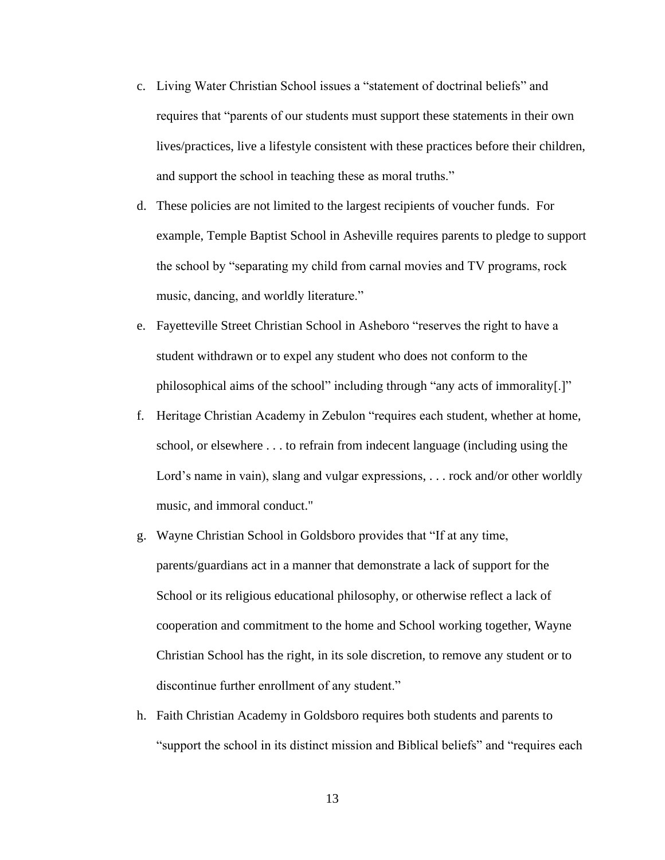- c. Living Water Christian School issues a "statement of doctrinal beliefs" and requires that "parents of our students must support these statements in their own lives/practices, live a lifestyle consistent with these practices before their children, and support the school in teaching these as moral truths."
- d. These policies are not limited to the largest recipients of voucher funds. For example, Temple Baptist School in Asheville requires parents to pledge to support the school by "separating my child from carnal movies and TV programs, rock music, dancing, and worldly literature."
- e. Fayetteville Street Christian School in Asheboro "reserves the right to have a student withdrawn or to expel any student who does not conform to the philosophical aims of the school" including through "any acts of immorality[.]"
- f. Heritage Christian Academy in Zebulon "requires each student, whether at home, school, or elsewhere . . . to refrain from indecent language (including using the Lord's name in vain), slang and vulgar expressions, . . . rock and/or other worldly music, and immoral conduct."
- g. Wayne Christian School in Goldsboro provides that "If at any time, parents/guardians act in a manner that demonstrate a lack of support for the School or its religious educational philosophy, or otherwise reflect a lack of cooperation and commitment to the home and School working together, Wayne Christian School has the right, in its sole discretion, to remove any student or to discontinue further enrollment of any student."
- h. Faith Christian Academy in Goldsboro requires both students and parents to "support the school in its distinct mission and Biblical beliefs" and "requires each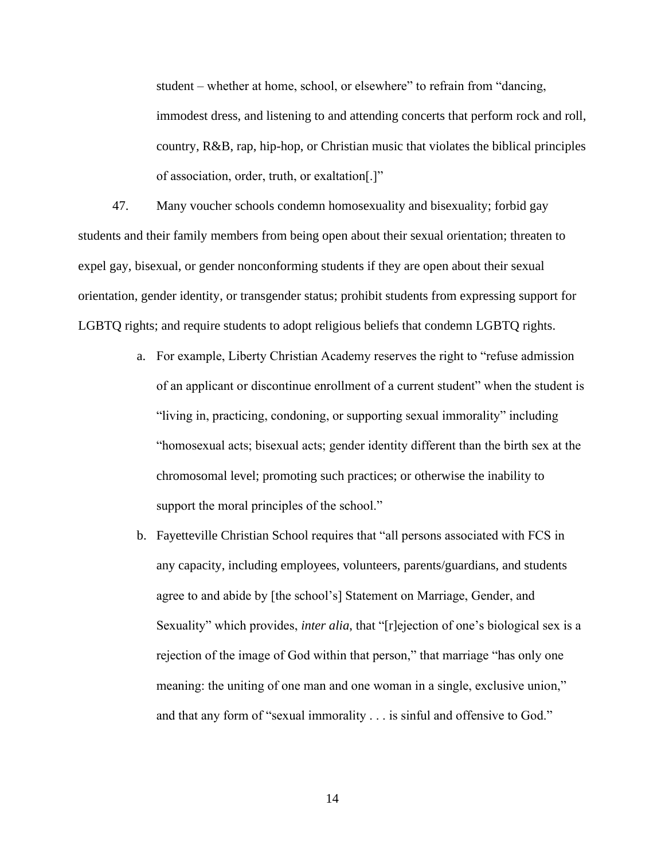student – whether at home, school, or elsewhere" to refrain from "dancing, immodest dress, and listening to and attending concerts that perform rock and roll, country, R&B, rap, hip-hop, or Christian music that violates the biblical principles of association, order, truth, or exaltation[.]"

47. Many voucher schools condemn homosexuality and bisexuality; forbid gay students and their family members from being open about their sexual orientation; threaten to expel gay, bisexual, or gender nonconforming students if they are open about their sexual orientation, gender identity, or transgender status; prohibit students from expressing support for LGBTQ rights; and require students to adopt religious beliefs that condemn LGBTQ rights.

- a. For example, Liberty Christian Academy reserves the right to "refuse admission of an applicant or discontinue enrollment of a current student" when the student is "living in, practicing, condoning, or supporting sexual immorality" including "homosexual acts; bisexual acts; gender identity different than the birth sex at the chromosomal level; promoting such practices; or otherwise the inability to support the moral principles of the school."
- b. Fayetteville Christian School requires that "all persons associated with FCS in any capacity, including employees, volunteers, parents/guardians, and students agree to and abide by [the school's] Statement on Marriage, Gender, and Sexuality" which provides, *inter alia*, that "[r]ejection of one's biological sex is a rejection of the image of God within that person," that marriage "has only one meaning: the uniting of one man and one woman in a single, exclusive union," and that any form of "sexual immorality . . . is sinful and offensive to God."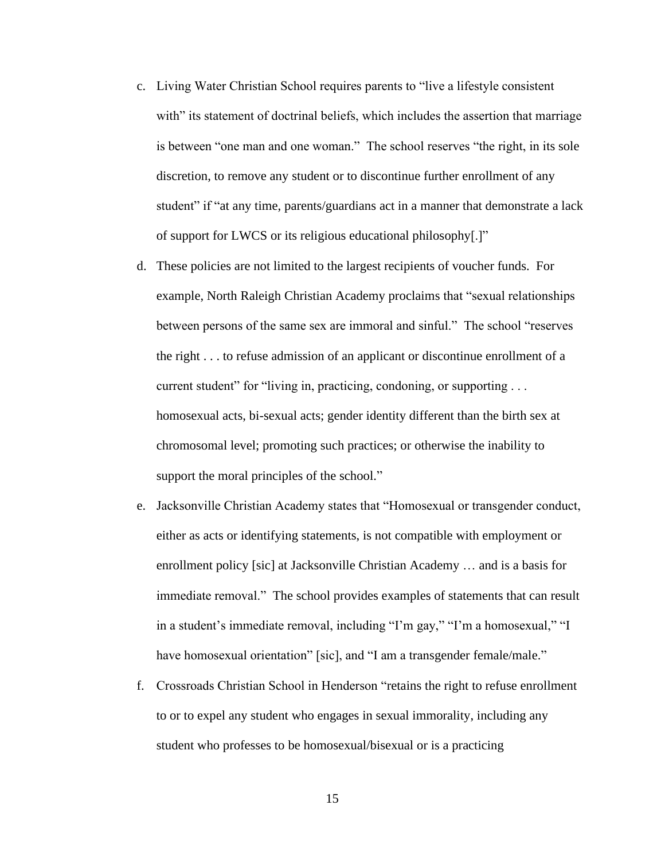- c. Living Water Christian School requires parents to "live a lifestyle consistent with" its statement of doctrinal beliefs, which includes the assertion that marriage is between "one man and one woman." The school reserves "the right, in its sole discretion, to remove any student or to discontinue further enrollment of any student" if "at any time, parents/guardians act in a manner that demonstrate a lack of support for LWCS or its religious educational philosophy[.]"
- d. These policies are not limited to the largest recipients of voucher funds. For example, North Raleigh Christian Academy proclaims that "sexual relationships between persons of the same sex are immoral and sinful." The school "reserves the right . . . to refuse admission of an applicant or discontinue enrollment of a current student" for "living in, practicing, condoning, or supporting . . . homosexual acts, bi-sexual acts; gender identity different than the birth sex at chromosomal level; promoting such practices; or otherwise the inability to support the moral principles of the school."
- e. Jacksonville Christian Academy states that "Homosexual or transgender conduct, either as acts or identifying statements, is not compatible with employment or enrollment policy [sic] at Jacksonville Christian Academy … and is a basis for immediate removal." The school provides examples of statements that can result in a student's immediate removal, including "I'm gay," "I'm a homosexual," "I have homosexual orientation" [sic], and "I am a transgender female/male."
- f. Crossroads Christian School in Henderson "retains the right to refuse enrollment to or to expel any student who engages in sexual immorality, including any student who professes to be homosexual/bisexual or is a practicing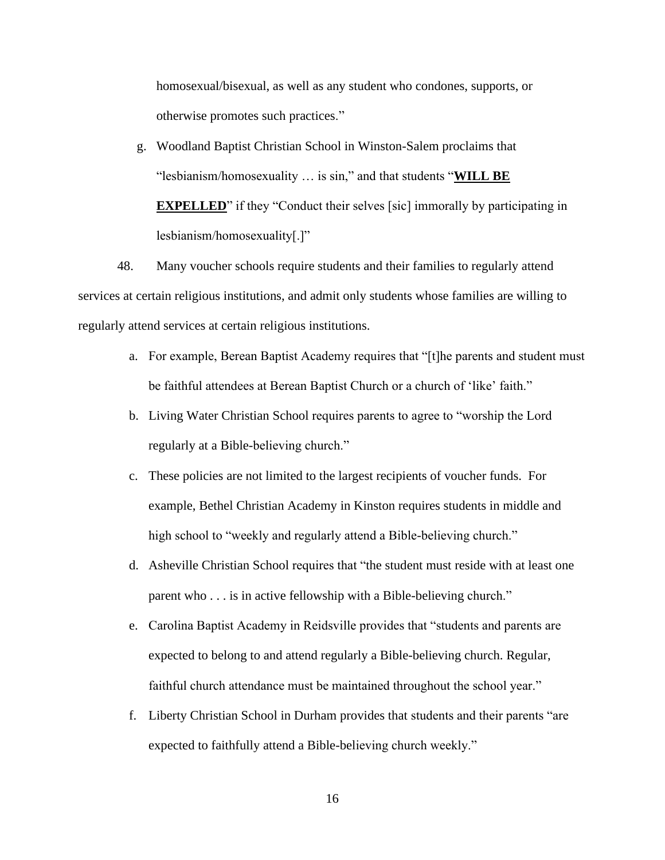homosexual/bisexual, as well as any student who condones, supports, or otherwise promotes such practices."

g. Woodland Baptist Christian School in Winston-Salem proclaims that "lesbianism/homosexuality … is sin," and that students "**WILL BE EXPELLED**" if they "Conduct their selves [sic] immorally by participating in lesbianism/homosexuality[.]"

48. Many voucher schools require students and their families to regularly attend services at certain religious institutions, and admit only students whose families are willing to regularly attend services at certain religious institutions.

- a. For example, Berean Baptist Academy requires that "[t]he parents and student must be faithful attendees at Berean Baptist Church or a church of 'like' faith."
- b. Living Water Christian School requires parents to agree to "worship the Lord regularly at a Bible-believing church."
- c. These policies are not limited to the largest recipients of voucher funds. For example, Bethel Christian Academy in Kinston requires students in middle and high school to "weekly and regularly attend a Bible-believing church."
- d. Asheville Christian School requires that "the student must reside with at least one parent who . . . is in active fellowship with a Bible-believing church."
- e. Carolina Baptist Academy in Reidsville provides that "students and parents are expected to belong to and attend regularly a Bible-believing church. Regular, faithful church attendance must be maintained throughout the school year."
- f. Liberty Christian School in Durham provides that students and their parents "are expected to faithfully attend a Bible-believing church weekly."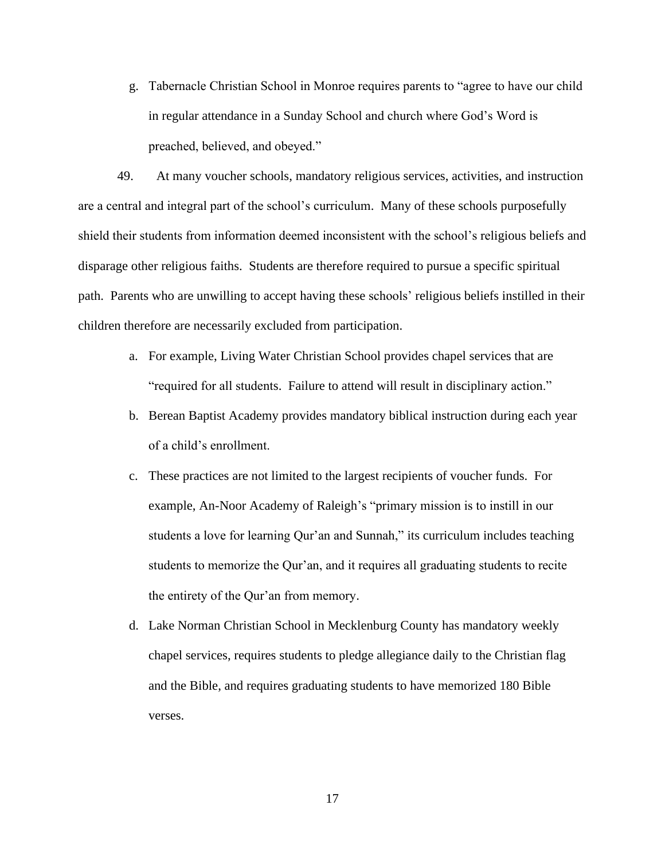g. Tabernacle Christian School in Monroe requires parents to "agree to have our child in regular attendance in a Sunday School and church where God's Word is preached, believed, and obeyed."

49. At many voucher schools, mandatory religious services, activities, and instruction are a central and integral part of the school's curriculum. Many of these schools purposefully shield their students from information deemed inconsistent with the school's religious beliefs and disparage other religious faiths. Students are therefore required to pursue a specific spiritual path. Parents who are unwilling to accept having these schools' religious beliefs instilled in their children therefore are necessarily excluded from participation.

- a. For example, Living Water Christian School provides chapel services that are "required for all students. Failure to attend will result in disciplinary action."
- b. Berean Baptist Academy provides mandatory biblical instruction during each year of a child's enrollment.
- c. These practices are not limited to the largest recipients of voucher funds. For example, An-Noor Academy of Raleigh's "primary mission is to instill in our students a love for learning Qur'an and Sunnah," its curriculum includes teaching students to memorize the Qur'an, and it requires all graduating students to recite the entirety of the Qur'an from memory.
- d. Lake Norman Christian School in Mecklenburg County has mandatory weekly chapel services, requires students to pledge allegiance daily to the Christian flag and the Bible, and requires graduating students to have memorized 180 Bible verses.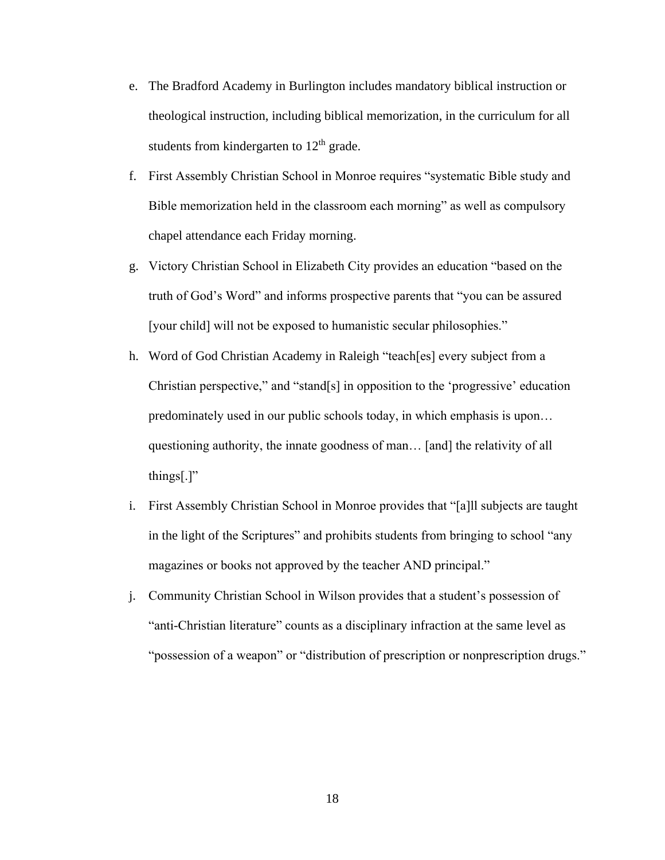- e. The Bradford Academy in Burlington includes mandatory biblical instruction or theological instruction, including biblical memorization, in the curriculum for all students from kindergarten to  $12<sup>th</sup>$  grade.
- f. First Assembly Christian School in Monroe requires "systematic Bible study and Bible memorization held in the classroom each morning" as well as compulsory chapel attendance each Friday morning.
- g. Victory Christian School in Elizabeth City provides an education "based on the truth of God's Word" and informs prospective parents that "you can be assured [your child] will not be exposed to humanistic secular philosophies."
- h. Word of God Christian Academy in Raleigh "teach[es] every subject from a Christian perspective," and "stand[s] in opposition to the 'progressive' education predominately used in our public schools today, in which emphasis is upon… questioning authority, the innate goodness of man… [and] the relativity of all things[.]"
- i. First Assembly Christian School in Monroe provides that "[a]ll subjects are taught in the light of the Scriptures" and prohibits students from bringing to school "any magazines or books not approved by the teacher AND principal."
- j. Community Christian School in Wilson provides that a student's possession of "anti-Christian literature" counts as a disciplinary infraction at the same level as "possession of a weapon" or "distribution of prescription or nonprescription drugs."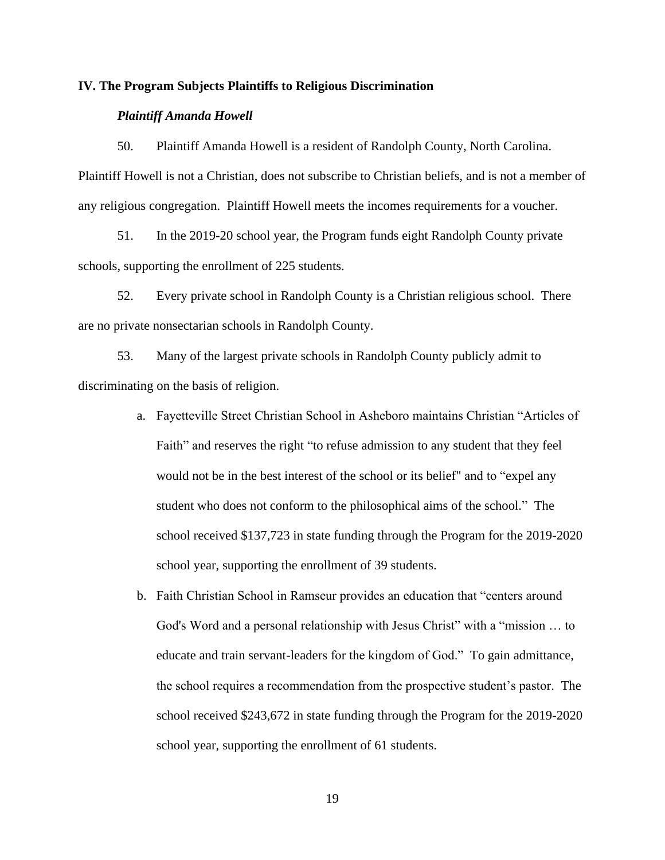## **IV. The Program Subjects Plaintiffs to Religious Discrimination**

## *Plaintiff Amanda Howell*

50. Plaintiff Amanda Howell is a resident of Randolph County, North Carolina. Plaintiff Howell is not a Christian, does not subscribe to Christian beliefs, and is not a member of any religious congregation. Plaintiff Howell meets the incomes requirements for a voucher.

51. In the 2019-20 school year, the Program funds eight Randolph County private schools, supporting the enrollment of 225 students.

52. Every private school in Randolph County is a Christian religious school. There are no private nonsectarian schools in Randolph County.

53. Many of the largest private schools in Randolph County publicly admit to discriminating on the basis of religion.

- a. Fayetteville Street Christian School in Asheboro maintains Christian "Articles of Faith" and reserves the right "to refuse admission to any student that they feel would not be in the best interest of the school or its belief" and to "expel any student who does not conform to the philosophical aims of the school." The school received \$137,723 in state funding through the Program for the 2019-2020 school year, supporting the enrollment of 39 students.
- b. Faith Christian School in Ramseur provides an education that "centers around God's Word and a personal relationship with Jesus Christ" with a "mission … to educate and train servant-leaders for the kingdom of God." To gain admittance, the school requires a recommendation from the prospective student's pastor. The school received \$243,672 in state funding through the Program for the 2019-2020 school year, supporting the enrollment of 61 students.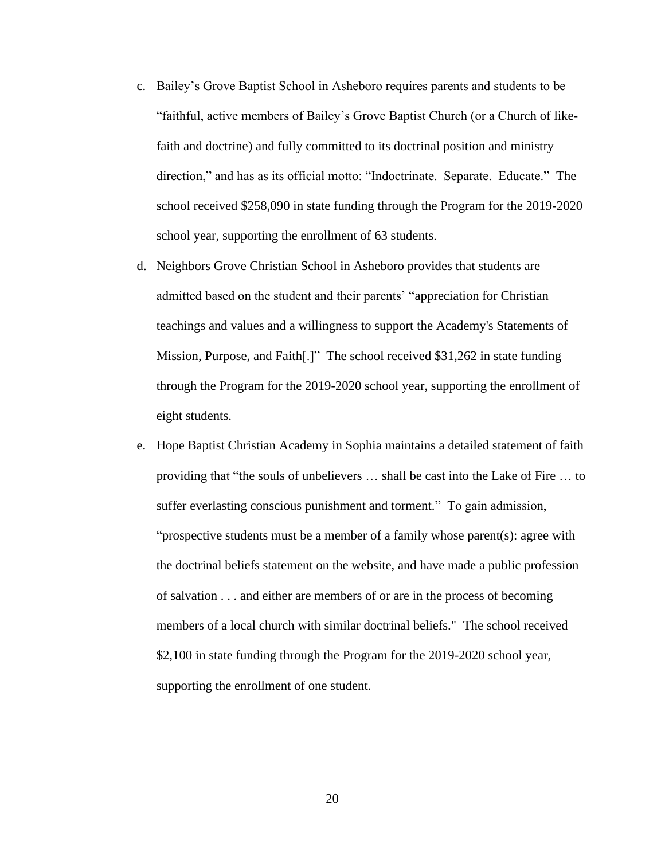- c. Bailey's Grove Baptist School in Asheboro requires parents and students to be "faithful, active members of Bailey's Grove Baptist Church (or a Church of likefaith and doctrine) and fully committed to its doctrinal position and ministry direction," and has as its official motto: "Indoctrinate. Separate. Educate." The school received \$258,090 in state funding through the Program for the 2019-2020 school year, supporting the enrollment of 63 students.
- d. Neighbors Grove Christian School in Asheboro provides that students are admitted based on the student and their parents' "appreciation for Christian teachings and values and a willingness to support the Academy's Statements of Mission, Purpose, and Faith[.]" The school received \$31,262 in state funding through the Program for the 2019-2020 school year, supporting the enrollment of eight students.
- e. Hope Baptist Christian Academy in Sophia maintains a detailed statement of faith providing that "the souls of unbelievers … shall be cast into the Lake of Fire … to suffer everlasting conscious punishment and torment." To gain admission, "prospective students must be a member of a family whose parent(s): agree with the doctrinal beliefs statement on the website, and have made a public profession of salvation . . . and either are members of or are in the process of becoming members of a local church with similar doctrinal beliefs." The school received \$2,100 in state funding through the Program for the 2019-2020 school year, supporting the enrollment of one student.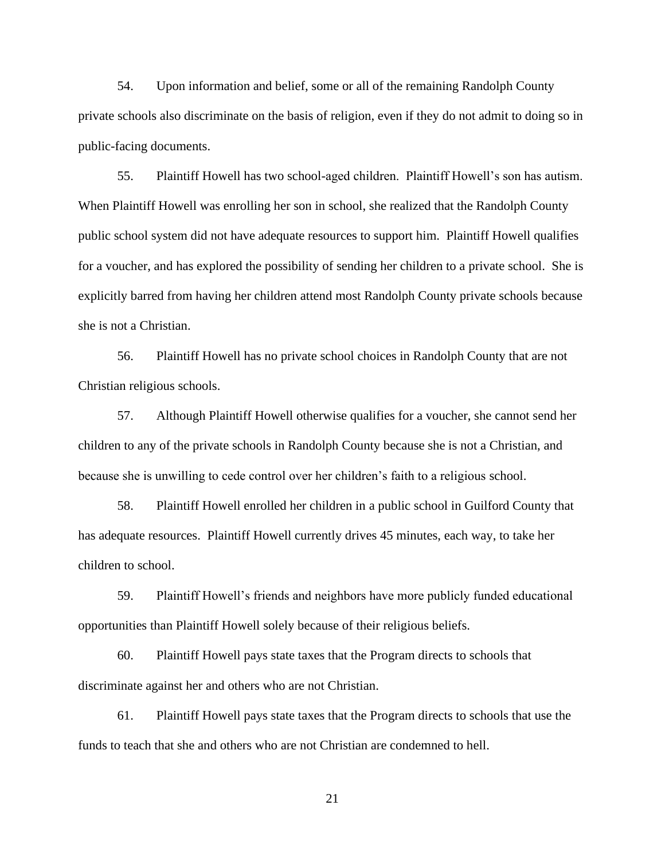54. Upon information and belief, some or all of the remaining Randolph County private schools also discriminate on the basis of religion, even if they do not admit to doing so in public-facing documents.

55. Plaintiff Howell has two school-aged children. Plaintiff Howell's son has autism. When Plaintiff Howell was enrolling her son in school, she realized that the Randolph County public school system did not have adequate resources to support him. Plaintiff Howell qualifies for a voucher, and has explored the possibility of sending her children to a private school. She is explicitly barred from having her children attend most Randolph County private schools because she is not a Christian.

56. Plaintiff Howell has no private school choices in Randolph County that are not Christian religious schools.

57. Although Plaintiff Howell otherwise qualifies for a voucher, she cannot send her children to any of the private schools in Randolph County because she is not a Christian, and because she is unwilling to cede control over her children's faith to a religious school.

58. Plaintiff Howell enrolled her children in a public school in Guilford County that has adequate resources. Plaintiff Howell currently drives 45 minutes, each way, to take her children to school.

59. Plaintiff Howell's friends and neighbors have more publicly funded educational opportunities than Plaintiff Howell solely because of their religious beliefs.

60. Plaintiff Howell pays state taxes that the Program directs to schools that discriminate against her and others who are not Christian.

61. Plaintiff Howell pays state taxes that the Program directs to schools that use the funds to teach that she and others who are not Christian are condemned to hell.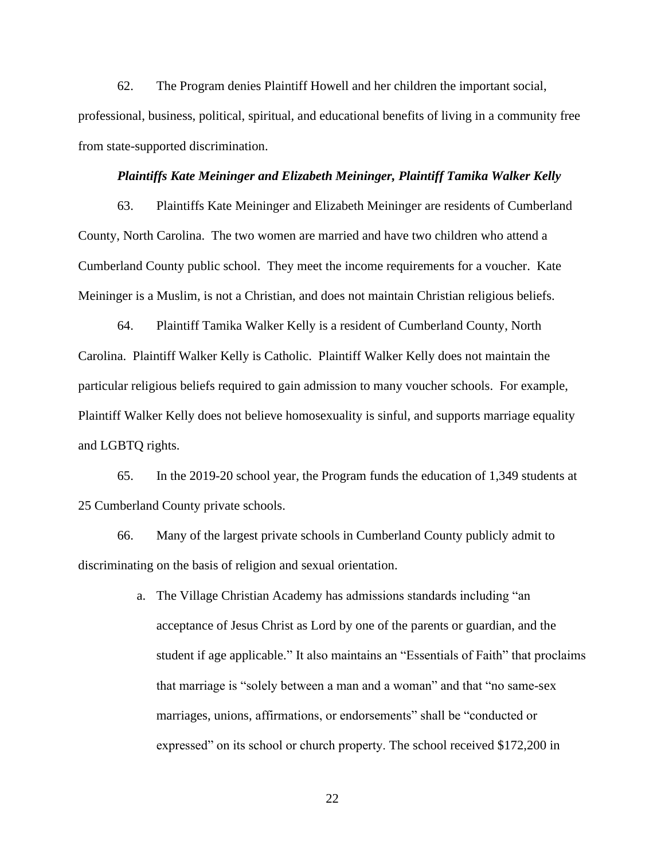62. The Program denies Plaintiff Howell and her children the important social, professional, business, political, spiritual, and educational benefits of living in a community free from state-supported discrimination.

### *Plaintiffs Kate Meininger and Elizabeth Meininger, Plaintiff Tamika Walker Kelly*

63. Plaintiffs Kate Meininger and Elizabeth Meininger are residents of Cumberland County, North Carolina. The two women are married and have two children who attend a Cumberland County public school. They meet the income requirements for a voucher. Kate Meininger is a Muslim, is not a Christian, and does not maintain Christian religious beliefs.

64. Plaintiff Tamika Walker Kelly is a resident of Cumberland County, North Carolina. Plaintiff Walker Kelly is Catholic. Plaintiff Walker Kelly does not maintain the particular religious beliefs required to gain admission to many voucher schools. For example, Plaintiff Walker Kelly does not believe homosexuality is sinful, and supports marriage equality and LGBTQ rights.

65. In the 2019-20 school year, the Program funds the education of 1,349 students at 25 Cumberland County private schools.

66. Many of the largest private schools in Cumberland County publicly admit to discriminating on the basis of religion and sexual orientation.

> a. The Village Christian Academy has admissions standards including "an acceptance of Jesus Christ as Lord by one of the parents or guardian, and the student if age applicable." It also maintains an "Essentials of Faith" that proclaims that marriage is "solely between a man and a woman" and that "no same-sex marriages, unions, affirmations, or endorsements" shall be "conducted or expressed" on its school or church property. The school received \$172,200 in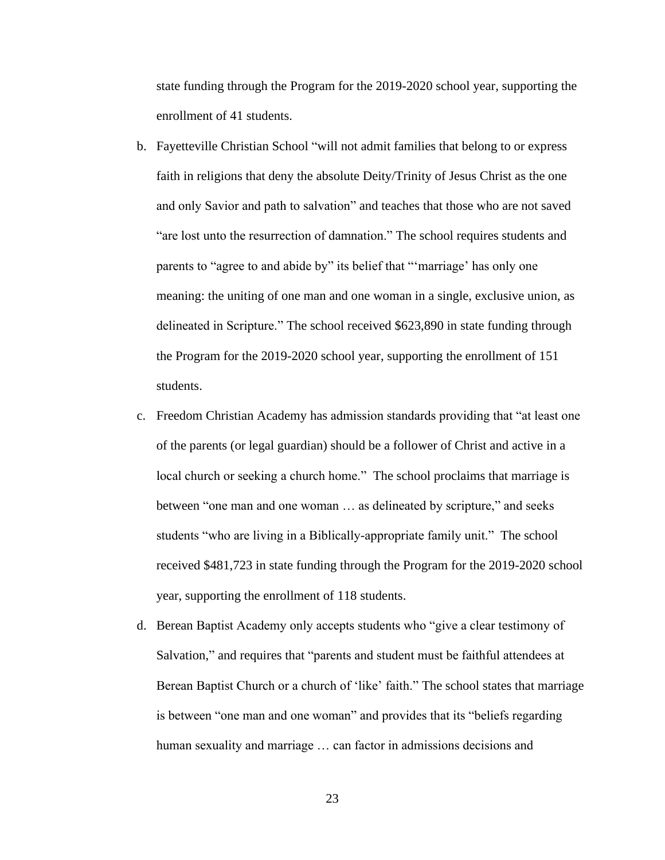state funding through the Program for the 2019-2020 school year, supporting the enrollment of 41 students.

- b. Fayetteville Christian School "will not admit families that belong to or express faith in religions that deny the absolute Deity/Trinity of Jesus Christ as the one and only Savior and path to salvation" and teaches that those who are not saved "are lost unto the resurrection of damnation." The school requires students and parents to "agree to and abide by" its belief that "'marriage' has only one meaning: the uniting of one man and one woman in a single, exclusive union, as delineated in Scripture." The school received \$623,890 in state funding through the Program for the 2019-2020 school year, supporting the enrollment of 151 students.
- c. Freedom Christian Academy has admission standards providing that "at least one of the parents (or legal guardian) should be a follower of Christ and active in a local church or seeking a church home." The school proclaims that marriage is between "one man and one woman … as delineated by scripture," and seeks students "who are living in a Biblically-appropriate family unit." The school received \$481,723 in state funding through the Program for the 2019-2020 school year, supporting the enrollment of 118 students.
- d. Berean Baptist Academy only accepts students who "give a clear testimony of Salvation," and requires that "parents and student must be faithful attendees at Berean Baptist Church or a church of 'like' faith." The school states that marriage is between "one man and one woman" and provides that its "beliefs regarding human sexuality and marriage … can factor in admissions decisions and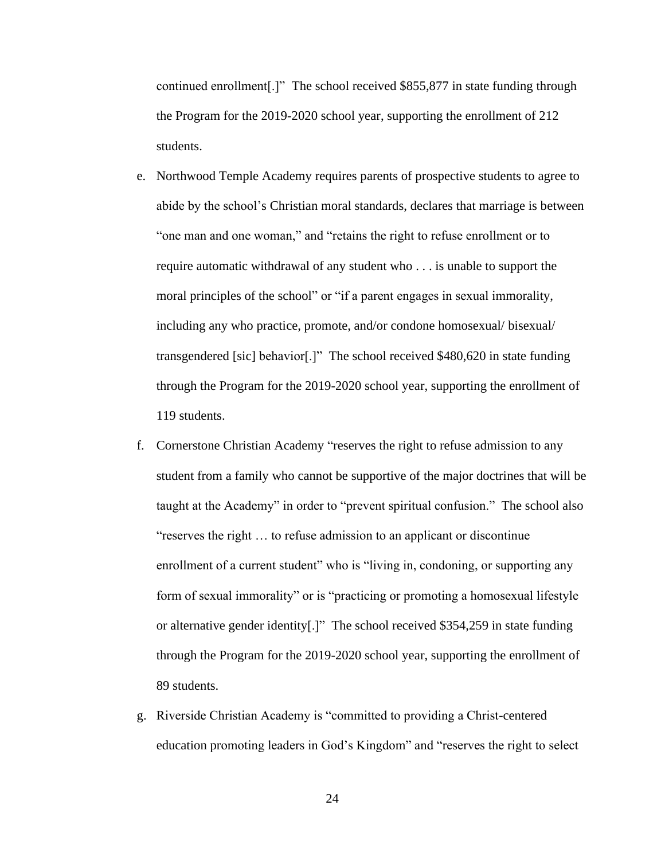continued enrollment[.]" The school received \$855,877 in state funding through the Program for the 2019-2020 school year, supporting the enrollment of 212 students.

- e. Northwood Temple Academy requires parents of prospective students to agree to abide by the school's Christian moral standards, declares that marriage is between "one man and one woman," and "retains the right to refuse enrollment or to require automatic withdrawal of any student who . . . is unable to support the moral principles of the school" or "if a parent engages in sexual immorality, including any who practice, promote, and/or condone homosexual/ bisexual/ transgendered [sic] behavior[.]" The school received \$480,620 in state funding through the Program for the 2019-2020 school year, supporting the enrollment of 119 students.
- f. Cornerstone Christian Academy "reserves the right to refuse admission to any student from a family who cannot be supportive of the major doctrines that will be taught at the Academy" in order to "prevent spiritual confusion." The school also "reserves the right … to refuse admission to an applicant or discontinue enrollment of a current student" who is "living in, condoning, or supporting any form of sexual immorality" or is "practicing or promoting a homosexual lifestyle or alternative gender identity[.]" The school received \$354,259 in state funding through the Program for the 2019-2020 school year, supporting the enrollment of 89 students.
- g. Riverside Christian Academy is "committed to providing a Christ-centered education promoting leaders in God's Kingdom" and "reserves the right to select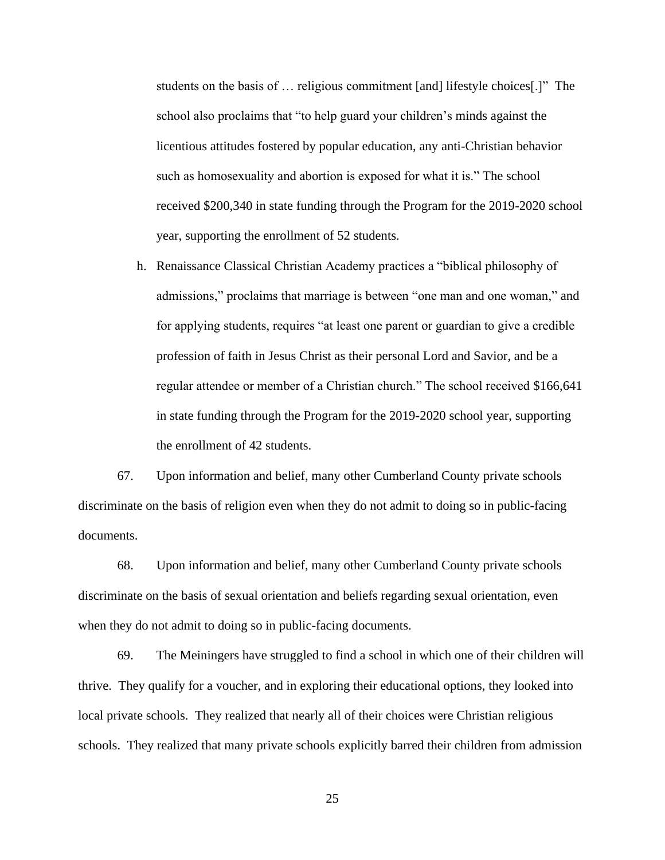students on the basis of … religious commitment [and] lifestyle choices[.]" The school also proclaims that "to help guard your children's minds against the licentious attitudes fostered by popular education, any anti-Christian behavior such as homosexuality and abortion is exposed for what it is." The school received \$200,340 in state funding through the Program for the 2019-2020 school year, supporting the enrollment of 52 students.

h. Renaissance Classical Christian Academy practices a "biblical philosophy of admissions," proclaims that marriage is between "one man and one woman," and for applying students, requires "at least one parent or guardian to give a credible profession of faith in Jesus Christ as their personal Lord and Savior, and be a regular attendee or member of a Christian church." The school received \$166,641 in state funding through the Program for the 2019-2020 school year, supporting the enrollment of 42 students.

67. Upon information and belief, many other Cumberland County private schools discriminate on the basis of religion even when they do not admit to doing so in public-facing documents.

68. Upon information and belief, many other Cumberland County private schools discriminate on the basis of sexual orientation and beliefs regarding sexual orientation, even when they do not admit to doing so in public-facing documents.

69. The Meiningers have struggled to find a school in which one of their children will thrive. They qualify for a voucher, and in exploring their educational options, they looked into local private schools. They realized that nearly all of their choices were Christian religious schools. They realized that many private schools explicitly barred their children from admission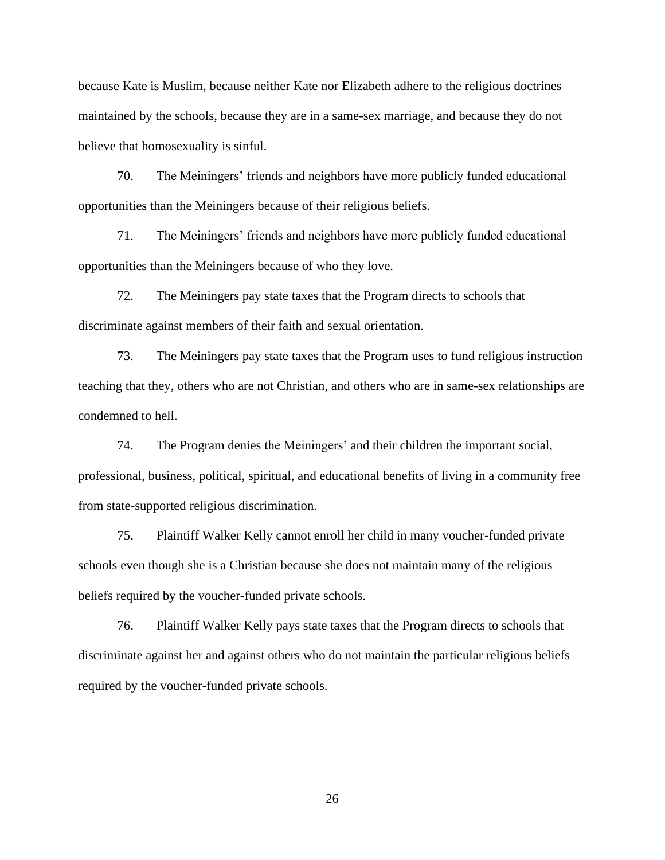because Kate is Muslim, because neither Kate nor Elizabeth adhere to the religious doctrines maintained by the schools, because they are in a same-sex marriage, and because they do not believe that homosexuality is sinful.

70. The Meiningers' friends and neighbors have more publicly funded educational opportunities than the Meiningers because of their religious beliefs.

71. The Meiningers' friends and neighbors have more publicly funded educational opportunities than the Meiningers because of who they love.

72. The Meiningers pay state taxes that the Program directs to schools that discriminate against members of their faith and sexual orientation.

73. The Meiningers pay state taxes that the Program uses to fund religious instruction teaching that they, others who are not Christian, and others who are in same-sex relationships are condemned to hell.

74. The Program denies the Meiningers' and their children the important social, professional, business, political, spiritual, and educational benefits of living in a community free from state-supported religious discrimination.

75. Plaintiff Walker Kelly cannot enroll her child in many voucher-funded private schools even though she is a Christian because she does not maintain many of the religious beliefs required by the voucher-funded private schools.

76. Plaintiff Walker Kelly pays state taxes that the Program directs to schools that discriminate against her and against others who do not maintain the particular religious beliefs required by the voucher-funded private schools.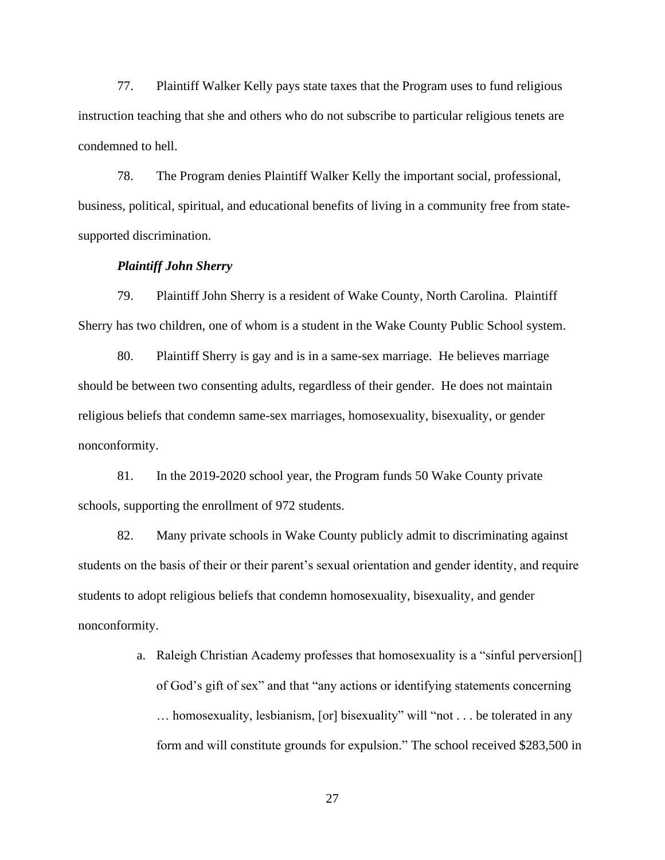77. Plaintiff Walker Kelly pays state taxes that the Program uses to fund religious instruction teaching that she and others who do not subscribe to particular religious tenets are condemned to hell.

78. The Program denies Plaintiff Walker Kelly the important social, professional, business, political, spiritual, and educational benefits of living in a community free from statesupported discrimination.

# *Plaintiff John Sherry*

79. Plaintiff John Sherry is a resident of Wake County, North Carolina. Plaintiff Sherry has two children, one of whom is a student in the Wake County Public School system.

80. Plaintiff Sherry is gay and is in a same-sex marriage. He believes marriage should be between two consenting adults, regardless of their gender. He does not maintain religious beliefs that condemn same-sex marriages, homosexuality, bisexuality, or gender nonconformity.

81. In the 2019-2020 school year, the Program funds 50 Wake County private schools, supporting the enrollment of 972 students.

82. Many private schools in Wake County publicly admit to discriminating against students on the basis of their or their parent's sexual orientation and gender identity, and require students to adopt religious beliefs that condemn homosexuality, bisexuality, and gender nonconformity.

> a. Raleigh Christian Academy professes that homosexuality is a "sinful perversion[] of God's gift of sex" and that "any actions or identifying statements concerning … homosexuality, lesbianism, [or] bisexuality" will "not . . . be tolerated in any form and will constitute grounds for expulsion." The school received \$283,500 in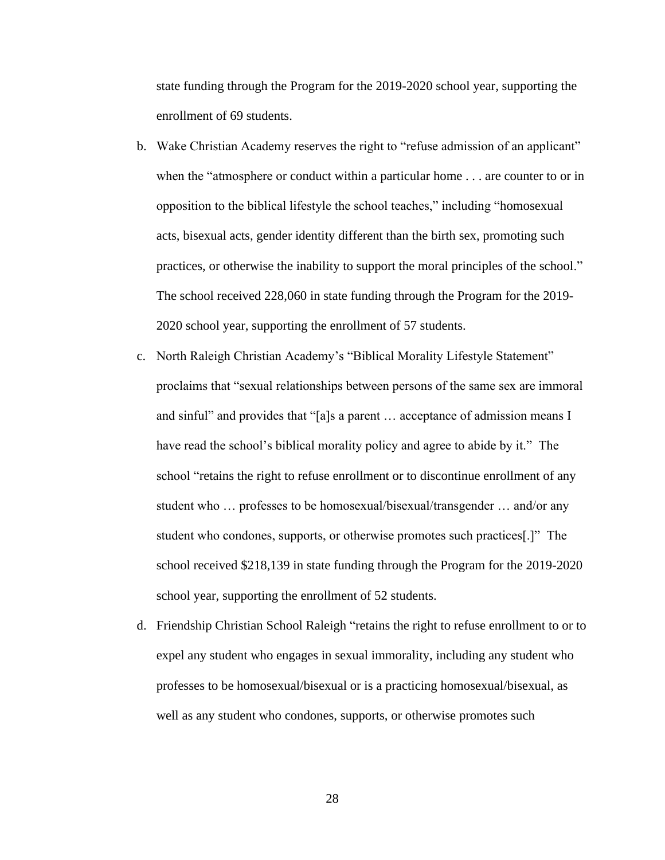state funding through the Program for the 2019-2020 school year, supporting the enrollment of 69 students.

- b. Wake Christian Academy reserves the right to "refuse admission of an applicant" when the "atmosphere or conduct within a particular home . . . are counter to or in opposition to the biblical lifestyle the school teaches," including "homosexual acts, bisexual acts, gender identity different than the birth sex, promoting such practices, or otherwise the inability to support the moral principles of the school." The school received 228,060 in state funding through the Program for the 2019- 2020 school year, supporting the enrollment of 57 students.
- c. North Raleigh Christian Academy's "Biblical Morality Lifestyle Statement" proclaims that "sexual relationships between persons of the same sex are immoral and sinful" and provides that "[a]s a parent … acceptance of admission means I have read the school's biblical morality policy and agree to abide by it." The school "retains the right to refuse enrollment or to discontinue enrollment of any student who … professes to be homosexual/bisexual/transgender … and/or any student who condones, supports, or otherwise promotes such practices[.]" The school received \$218,139 in state funding through the Program for the 2019-2020 school year, supporting the enrollment of 52 students.
- d. Friendship Christian School Raleigh "retains the right to refuse enrollment to or to expel any student who engages in sexual immorality, including any student who professes to be homosexual/bisexual or is a practicing homosexual/bisexual, as well as any student who condones, supports, or otherwise promotes such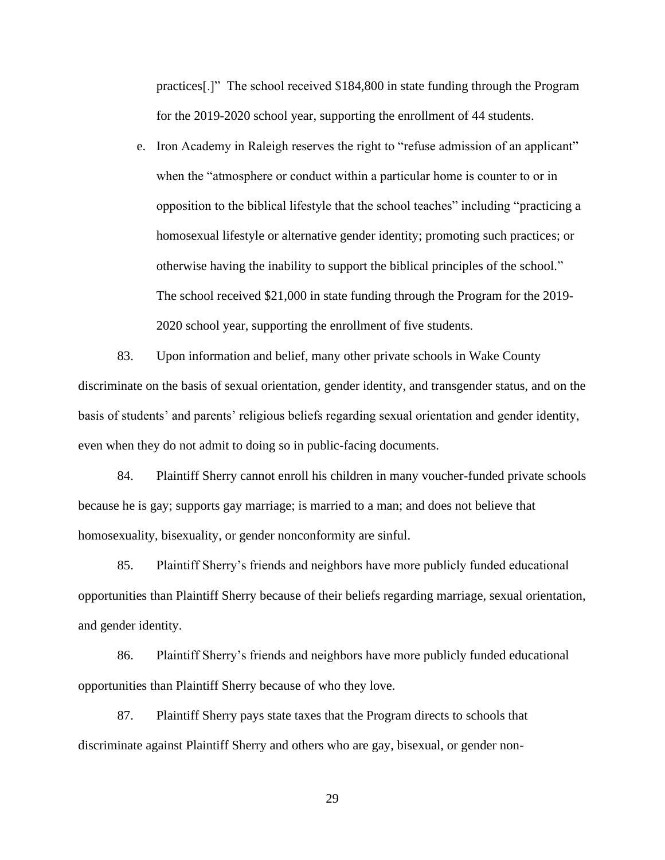practices[.]" The school received \$184,800 in state funding through the Program for the 2019-2020 school year, supporting the enrollment of 44 students.

e. Iron Academy in Raleigh reserves the right to "refuse admission of an applicant" when the "atmosphere or conduct within a particular home is counter to or in opposition to the biblical lifestyle that the school teaches" including "practicing a homosexual lifestyle or alternative gender identity; promoting such practices; or otherwise having the inability to support the biblical principles of the school." The school received \$21,000 in state funding through the Program for the 2019- 2020 school year, supporting the enrollment of five students.

83. Upon information and belief, many other private schools in Wake County discriminate on the basis of sexual orientation, gender identity, and transgender status, and on the basis of students' and parents' religious beliefs regarding sexual orientation and gender identity, even when they do not admit to doing so in public-facing documents.

84. Plaintiff Sherry cannot enroll his children in many voucher-funded private schools because he is gay; supports gay marriage; is married to a man; and does not believe that homosexuality, bisexuality, or gender nonconformity are sinful.

85. Plaintiff Sherry's friends and neighbors have more publicly funded educational opportunities than Plaintiff Sherry because of their beliefs regarding marriage, sexual orientation, and gender identity.

86. Plaintiff Sherry's friends and neighbors have more publicly funded educational opportunities than Plaintiff Sherry because of who they love.

87. Plaintiff Sherry pays state taxes that the Program directs to schools that discriminate against Plaintiff Sherry and others who are gay, bisexual, or gender non-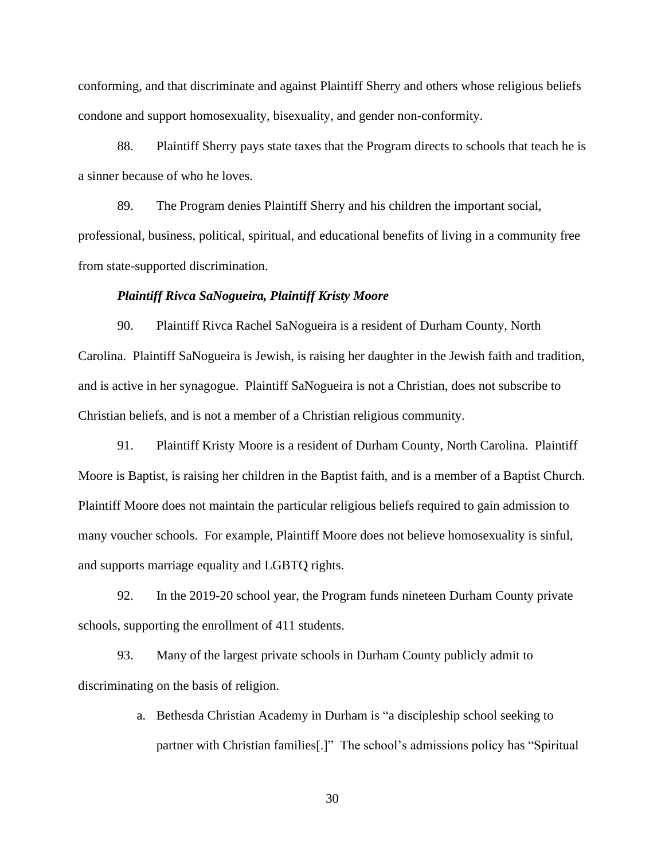conforming, and that discriminate and against Plaintiff Sherry and others whose religious beliefs condone and support homosexuality, bisexuality, and gender non-conformity.

88. Plaintiff Sherry pays state taxes that the Program directs to schools that teach he is a sinner because of who he loves.

89. The Program denies Plaintiff Sherry and his children the important social, professional, business, political, spiritual, and educational benefits of living in a community free from state-supported discrimination.

## *Plaintiff Rivca SaNogueira, Plaintiff Kristy Moore*

90. Plaintiff Rivca Rachel SaNogueira is a resident of Durham County, North Carolina. Plaintiff SaNogueira is Jewish, is raising her daughter in the Jewish faith and tradition, and is active in her synagogue. Plaintiff SaNogueira is not a Christian, does not subscribe to Christian beliefs, and is not a member of a Christian religious community.

91. Plaintiff Kristy Moore is a resident of Durham County, North Carolina. Plaintiff Moore is Baptist, is raising her children in the Baptist faith, and is a member of a Baptist Church. Plaintiff Moore does not maintain the particular religious beliefs required to gain admission to many voucher schools. For example, Plaintiff Moore does not believe homosexuality is sinful, and supports marriage equality and LGBTQ rights.

92. In the 2019-20 school year, the Program funds nineteen Durham County private schools, supporting the enrollment of 411 students.

93. Many of the largest private schools in Durham County publicly admit to discriminating on the basis of religion.

> a. Bethesda Christian Academy in Durham is "a discipleship school seeking to partner with Christian families[.]" The school's admissions policy has "Spiritual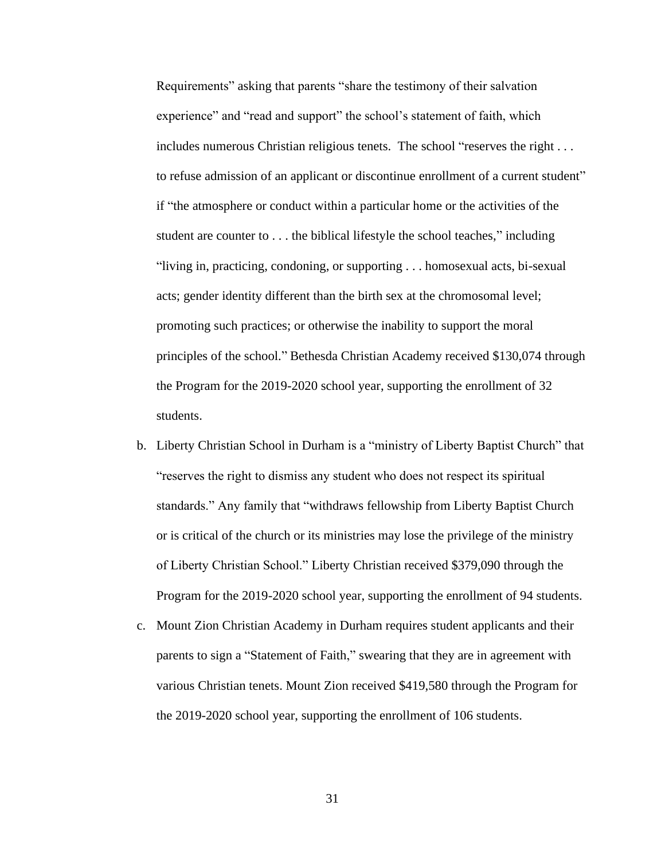Requirements" asking that parents "share the testimony of their salvation experience" and "read and support" the school's statement of faith, which includes numerous Christian religious tenets. The school "reserves the right . . . to refuse admission of an applicant or discontinue enrollment of a current student" if "the atmosphere or conduct within a particular home or the activities of the student are counter to . . . the biblical lifestyle the school teaches," including "living in, practicing, condoning, or supporting . . . homosexual acts, bi-sexual acts; gender identity different than the birth sex at the chromosomal level; promoting such practices; or otherwise the inability to support the moral principles of the school." Bethesda Christian Academy received \$130,074 through the Program for the 2019-2020 school year, supporting the enrollment of 32 students.

- b. Liberty Christian School in Durham is a "ministry of Liberty Baptist Church" that "reserves the right to dismiss any student who does not respect its spiritual standards." Any family that "withdraws fellowship from Liberty Baptist Church or is critical of the church or its ministries may lose the privilege of the ministry of Liberty Christian School." Liberty Christian received \$379,090 through the Program for the 2019-2020 school year, supporting the enrollment of 94 students.
- c. Mount Zion Christian Academy in Durham requires student applicants and their parents to sign a "Statement of Faith," swearing that they are in agreement with various Christian tenets. Mount Zion received \$419,580 through the Program for the 2019-2020 school year, supporting the enrollment of 106 students.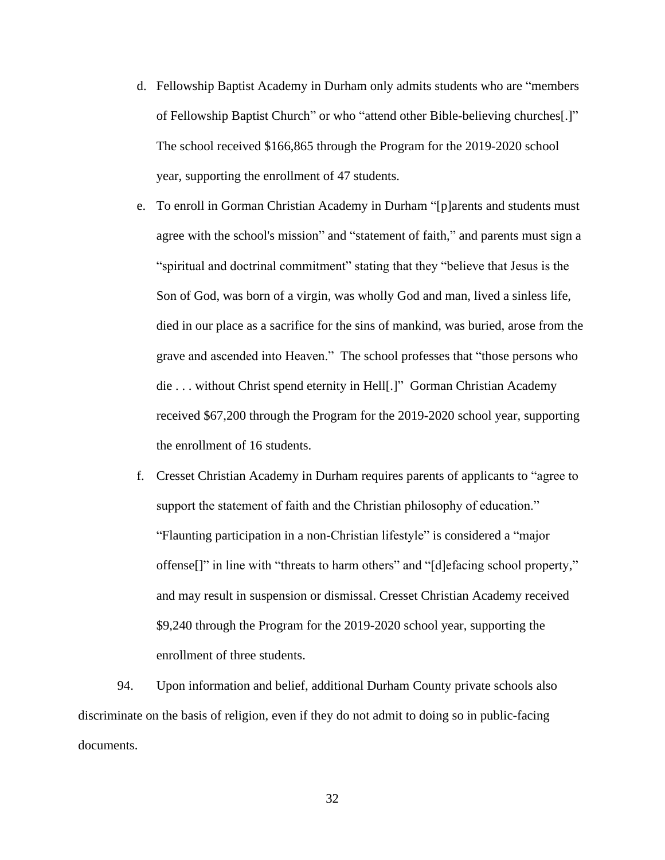- d. Fellowship Baptist Academy in Durham only admits students who are "members of Fellowship Baptist Church" or who "attend other Bible-believing churches[.]" The school received \$166,865 through the Program for the 2019-2020 school year, supporting the enrollment of 47 students.
- e. To enroll in Gorman Christian Academy in Durham "[p]arents and students must agree with the school's mission" and "statement of faith," and parents must sign a "spiritual and doctrinal commitment" stating that they "believe that Jesus is the Son of God, was born of a virgin, was wholly God and man, lived a sinless life, died in our place as a sacrifice for the sins of mankind, was buried, arose from the grave and ascended into Heaven." The school professes that "those persons who die . . . without Christ spend eternity in Hell[.]" Gorman Christian Academy received \$67,200 through the Program for the 2019-2020 school year, supporting the enrollment of 16 students.
- f. Cresset Christian Academy in Durham requires parents of applicants to "agree to support the statement of faith and the Christian philosophy of education." "Flaunting participation in a non-Christian lifestyle" is considered a "major offense[]" in line with "threats to harm others" and "[d]efacing school property," and may result in suspension or dismissal. Cresset Christian Academy received \$9,240 through the Program for the 2019-2020 school year, supporting the enrollment of three students.

94. Upon information and belief, additional Durham County private schools also discriminate on the basis of religion, even if they do not admit to doing so in public-facing documents.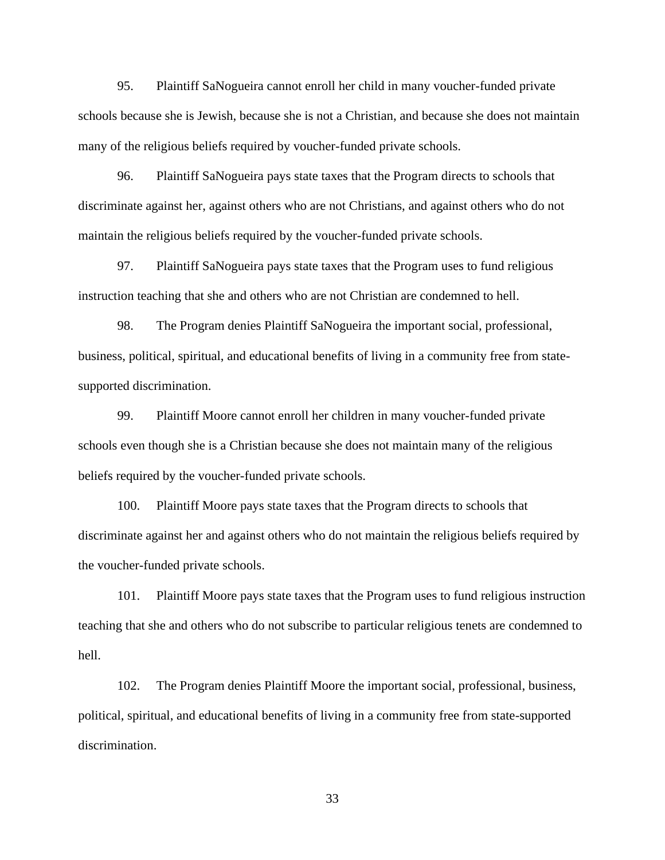95. Plaintiff SaNogueira cannot enroll her child in many voucher-funded private schools because she is Jewish, because she is not a Christian, and because she does not maintain many of the religious beliefs required by voucher-funded private schools.

96. Plaintiff SaNogueira pays state taxes that the Program directs to schools that discriminate against her, against others who are not Christians, and against others who do not maintain the religious beliefs required by the voucher-funded private schools.

97. Plaintiff SaNogueira pays state taxes that the Program uses to fund religious instruction teaching that she and others who are not Christian are condemned to hell.

98. The Program denies Plaintiff SaNogueira the important social, professional, business, political, spiritual, and educational benefits of living in a community free from statesupported discrimination.

99. Plaintiff Moore cannot enroll her children in many voucher-funded private schools even though she is a Christian because she does not maintain many of the religious beliefs required by the voucher-funded private schools.

100. Plaintiff Moore pays state taxes that the Program directs to schools that discriminate against her and against others who do not maintain the religious beliefs required by the voucher-funded private schools.

101. Plaintiff Moore pays state taxes that the Program uses to fund religious instruction teaching that she and others who do not subscribe to particular religious tenets are condemned to hell.

102. The Program denies Plaintiff Moore the important social, professional, business, political, spiritual, and educational benefits of living in a community free from state-supported discrimination.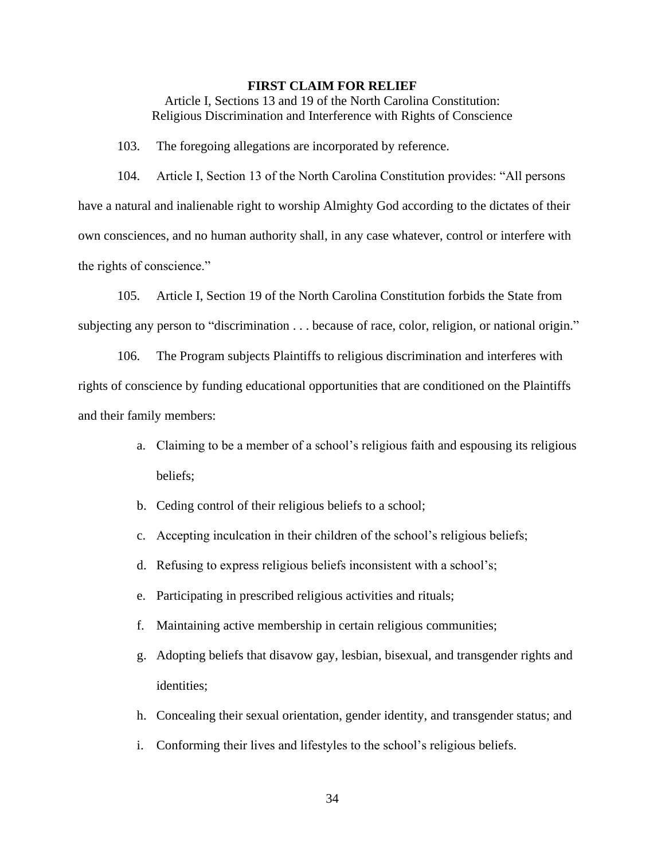#### **FIRST CLAIM FOR RELIEF**

Article I, Sections 13 and 19 of the North Carolina Constitution: Religious Discrimination and Interference with Rights of Conscience

103. The foregoing allegations are incorporated by reference.

104. Article I, Section 13 of the North Carolina Constitution provides: "All persons have a natural and inalienable right to worship Almighty God according to the dictates of their own consciences, and no human authority shall, in any case whatever, control or interfere with the rights of conscience."

105. Article I, Section 19 of the North Carolina Constitution forbids the State from subjecting any person to "discrimination . . . because of race, color, religion, or national origin."

106. The Program subjects Plaintiffs to religious discrimination and interferes with rights of conscience by funding educational opportunities that are conditioned on the Plaintiffs and their family members:

- a. Claiming to be a member of a school's religious faith and espousing its religious beliefs;
- b. Ceding control of their religious beliefs to a school;
- c. Accepting inculcation in their children of the school's religious beliefs;
- d. Refusing to express religious beliefs inconsistent with a school's;
- e. Participating in prescribed religious activities and rituals;
- f. Maintaining active membership in certain religious communities;
- g. Adopting beliefs that disavow gay, lesbian, bisexual, and transgender rights and identities;
- h. Concealing their sexual orientation, gender identity, and transgender status; and
- i. Conforming their lives and lifestyles to the school's religious beliefs.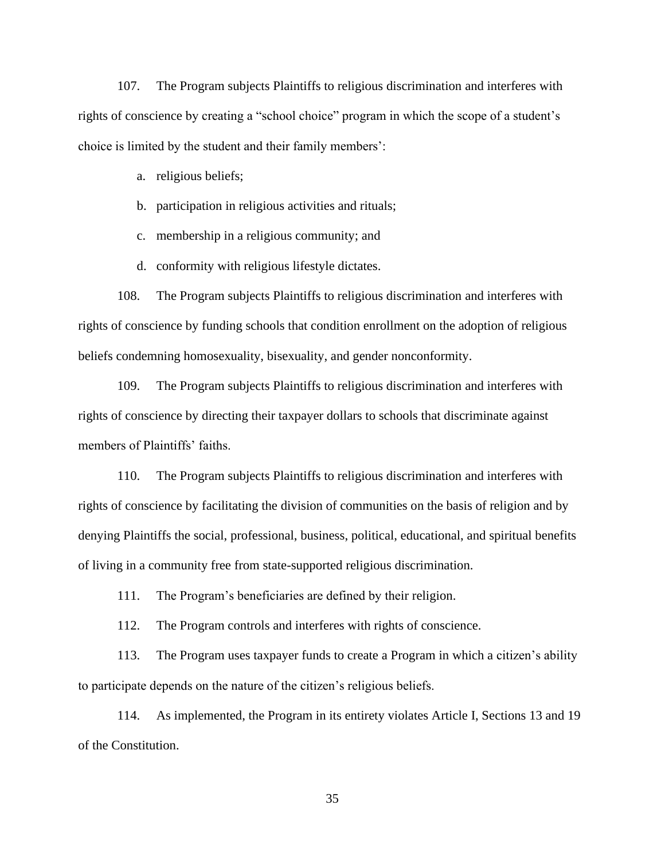107. The Program subjects Plaintiffs to religious discrimination and interferes with rights of conscience by creating a "school choice" program in which the scope of a student's choice is limited by the student and their family members':

a. religious beliefs;

- b. participation in religious activities and rituals;
- c. membership in a religious community; and
- d. conformity with religious lifestyle dictates.

108. The Program subjects Plaintiffs to religious discrimination and interferes with rights of conscience by funding schools that condition enrollment on the adoption of religious beliefs condemning homosexuality, bisexuality, and gender nonconformity.

109. The Program subjects Plaintiffs to religious discrimination and interferes with rights of conscience by directing their taxpayer dollars to schools that discriminate against members of Plaintiffs' faiths.

110. The Program subjects Plaintiffs to religious discrimination and interferes with rights of conscience by facilitating the division of communities on the basis of religion and by denying Plaintiffs the social, professional, business, political, educational, and spiritual benefits of living in a community free from state-supported religious discrimination.

111. The Program's beneficiaries are defined by their religion.

112. The Program controls and interferes with rights of conscience.

113. The Program uses taxpayer funds to create a Program in which a citizen's ability to participate depends on the nature of the citizen's religious beliefs.

114. As implemented, the Program in its entirety violates Article I, Sections 13 and 19 of the Constitution.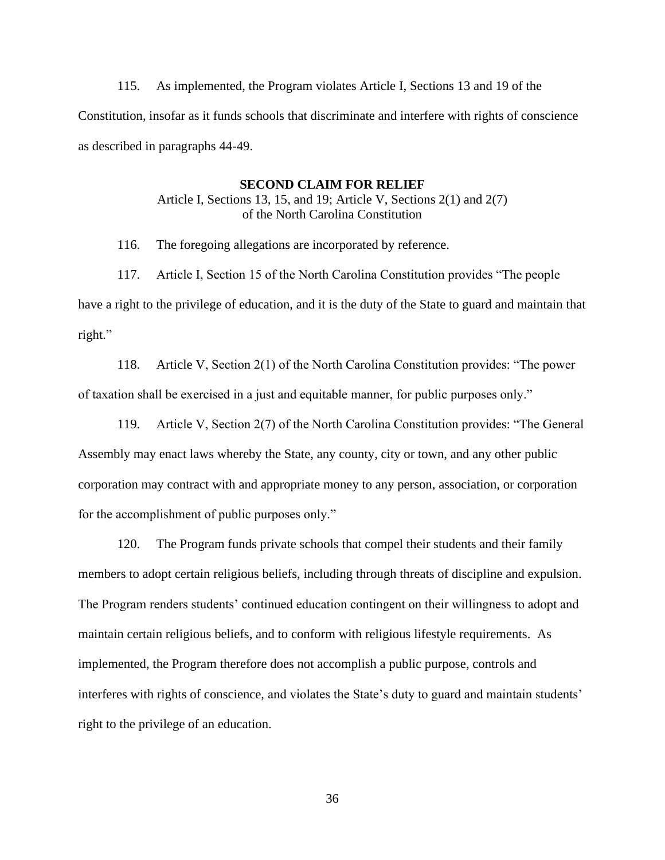115. As implemented, the Program violates Article I, Sections 13 and 19 of the Constitution, insofar as it funds schools that discriminate and interfere with rights of conscience as described in paragraphs 44-49.

#### **SECOND CLAIM FOR RELIEF**

Article I, Sections 13, 15, and 19; Article V, Sections 2(1) and 2(7) of the North Carolina Constitution

116. The foregoing allegations are incorporated by reference.

117. Article I, Section 15 of the North Carolina Constitution provides "The people have a right to the privilege of education, and it is the duty of the State to guard and maintain that right."

118. Article V, Section 2(1) of the North Carolina Constitution provides: "The power of taxation shall be exercised in a just and equitable manner, for public purposes only."

119. Article V, Section 2(7) of the North Carolina Constitution provides: "The General Assembly may enact laws whereby the State, any county, city or town, and any other public corporation may contract with and appropriate money to any person, association, or corporation for the accomplishment of public purposes only."

120. The Program funds private schools that compel their students and their family members to adopt certain religious beliefs, including through threats of discipline and expulsion. The Program renders students' continued education contingent on their willingness to adopt and maintain certain religious beliefs, and to conform with religious lifestyle requirements. As implemented, the Program therefore does not accomplish a public purpose, controls and interferes with rights of conscience, and violates the State's duty to guard and maintain students' right to the privilege of an education.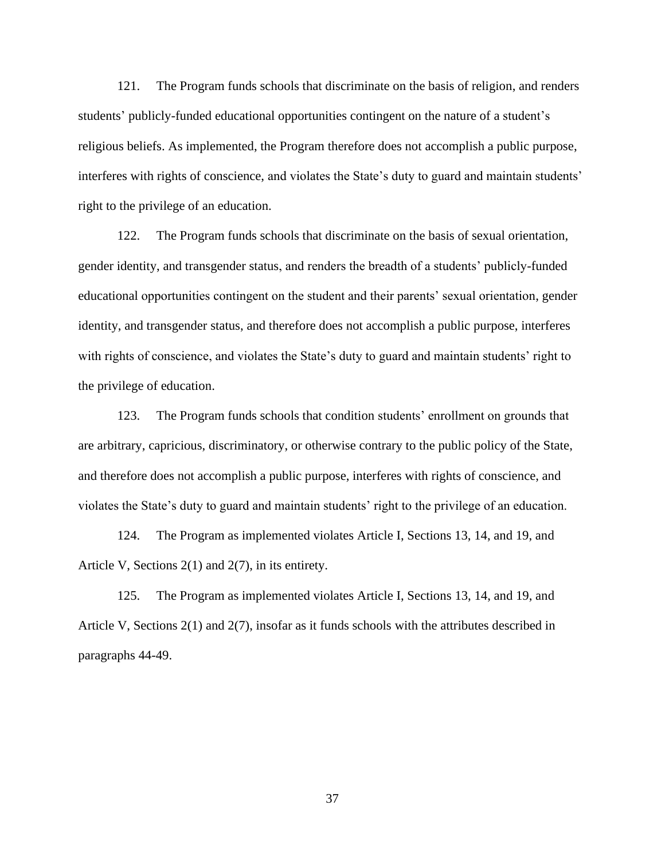121. The Program funds schools that discriminate on the basis of religion, and renders students' publicly-funded educational opportunities contingent on the nature of a student's religious beliefs. As implemented, the Program therefore does not accomplish a public purpose, interferes with rights of conscience, and violates the State's duty to guard and maintain students' right to the privilege of an education.

122. The Program funds schools that discriminate on the basis of sexual orientation, gender identity, and transgender status, and renders the breadth of a students' publicly-funded educational opportunities contingent on the student and their parents' sexual orientation, gender identity, and transgender status, and therefore does not accomplish a public purpose, interferes with rights of conscience, and violates the State's duty to guard and maintain students' right to the privilege of education.

123. The Program funds schools that condition students' enrollment on grounds that are arbitrary, capricious, discriminatory, or otherwise contrary to the public policy of the State, and therefore does not accomplish a public purpose, interferes with rights of conscience, and violates the State's duty to guard and maintain students' right to the privilege of an education.

124. The Program as implemented violates Article I, Sections 13, 14, and 19, and Article V, Sections 2(1) and 2(7), in its entirety.

125. The Program as implemented violates Article I, Sections 13, 14, and 19, and Article V, Sections 2(1) and 2(7), insofar as it funds schools with the attributes described in paragraphs 44-49.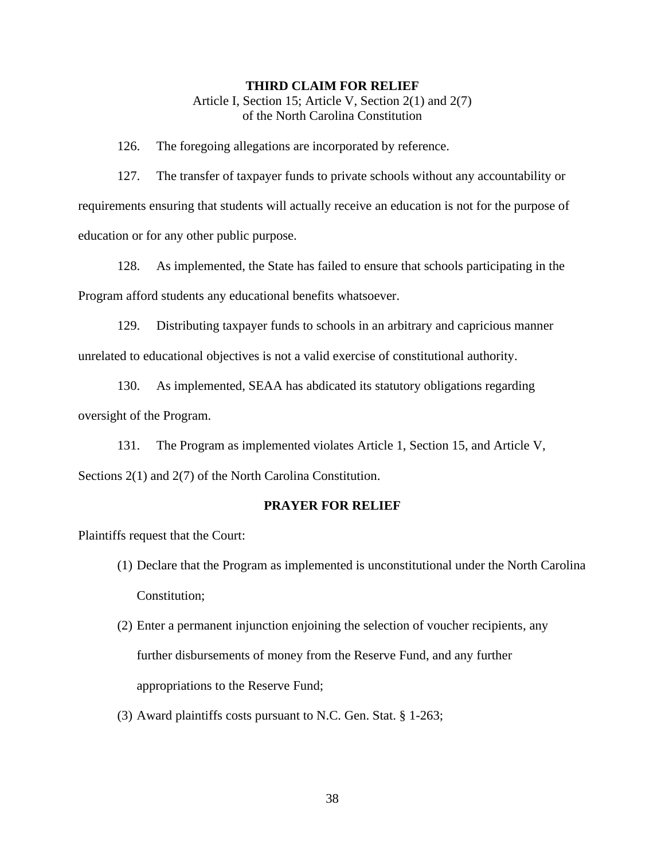#### **THIRD CLAIM FOR RELIEF**

Article I, Section 15; Article V, Section 2(1) and 2(7) of the North Carolina Constitution

126. The foregoing allegations are incorporated by reference.

127. The transfer of taxpayer funds to private schools without any accountability or requirements ensuring that students will actually receive an education is not for the purpose of education or for any other public purpose.

128. As implemented, the State has failed to ensure that schools participating in the Program afford students any educational benefits whatsoever.

129. Distributing taxpayer funds to schools in an arbitrary and capricious manner unrelated to educational objectives is not a valid exercise of constitutional authority.

130. As implemented, SEAA has abdicated its statutory obligations regarding oversight of the Program.

131. The Program as implemented violates Article 1, Section 15, and Article V, Sections 2(1) and 2(7) of the North Carolina Constitution.

# **PRAYER FOR RELIEF**

Plaintiffs request that the Court:

- (1) Declare that the Program as implemented is unconstitutional under the North Carolina Constitution;
- (2) Enter a permanent injunction enjoining the selection of voucher recipients, any further disbursements of money from the Reserve Fund, and any further appropriations to the Reserve Fund;
- (3) Award plaintiffs costs pursuant to N.C. Gen. Stat. § 1-263;